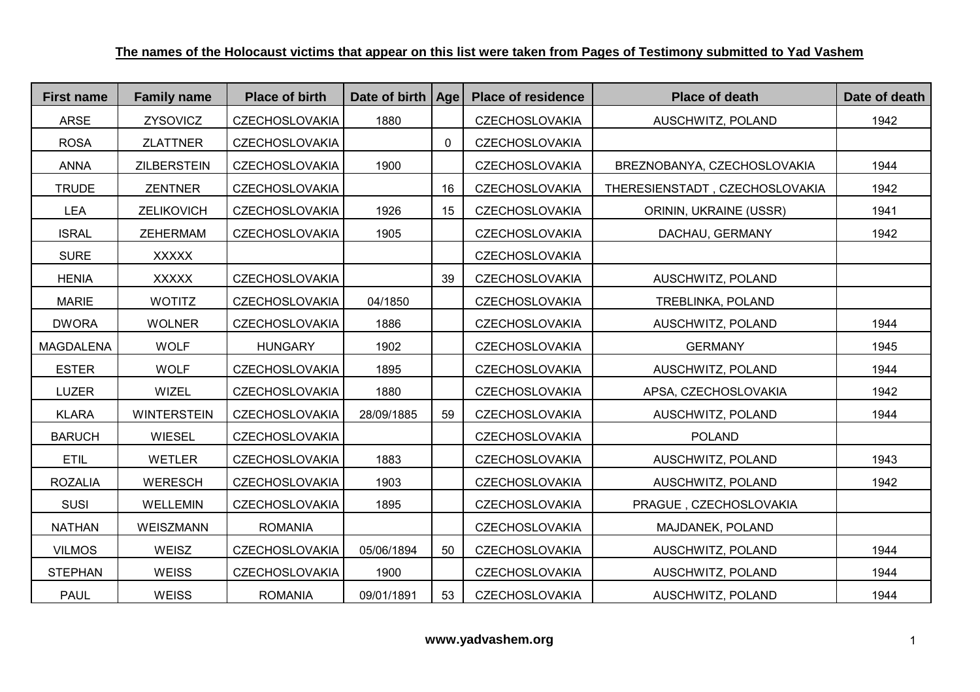| <b>First name</b> | <b>Family name</b> | <b>Place of birth</b> | Date of birth | <b>Age</b> | <b>Place of residence</b> | <b>Place of death</b>          | Date of death |
|-------------------|--------------------|-----------------------|---------------|------------|---------------------------|--------------------------------|---------------|
| <b>ARSE</b>       | ZYSOVICZ           | <b>CZECHOSLOVAKIA</b> | 1880          |            | <b>CZECHOSLOVAKIA</b>     | AUSCHWITZ, POLAND              | 1942          |
| <b>ROSA</b>       | <b>ZLATTNER</b>    | <b>CZECHOSLOVAKIA</b> |               | 0          | <b>CZECHOSLOVAKIA</b>     |                                |               |
| <b>ANNA</b>       | <b>ZILBERSTEIN</b> | <b>CZECHOSLOVAKIA</b> | 1900          |            | CZECHOSLOVAKIA            | BREZNOBANYA, CZECHOSLOVAKIA    | 1944          |
| <b>TRUDE</b>      | <b>ZENTNER</b>     | <b>CZECHOSLOVAKIA</b> |               | 16         | <b>CZECHOSLOVAKIA</b>     | THERESIENSTADT, CZECHOSLOVAKIA | 1942          |
| <b>LEA</b>        | ZELIKOVICH         | <b>CZECHOSLOVAKIA</b> | 1926          | 15         | <b>CZECHOSLOVAKIA</b>     | ORININ, UKRAINE (USSR)         | 1941          |
| <b>ISRAL</b>      | <b>ZEHERMAM</b>    | <b>CZECHOSLOVAKIA</b> | 1905          |            | <b>CZECHOSLOVAKIA</b>     | DACHAU, GERMANY                | 1942          |
| <b>SURE</b>       | <b>XXXXX</b>       |                       |               |            | <b>CZECHOSLOVAKIA</b>     |                                |               |
| <b>HENIA</b>      | <b>XXXXX</b>       | <b>CZECHOSLOVAKIA</b> |               | 39         | <b>CZECHOSLOVAKIA</b>     | AUSCHWITZ, POLAND              |               |
| <b>MARIE</b>      | <b>WOTITZ</b>      | <b>CZECHOSLOVAKIA</b> | 04/1850       |            | <b>CZECHOSLOVAKIA</b>     | TREBLINKA, POLAND              |               |
| <b>DWORA</b>      | <b>WOLNER</b>      | <b>CZECHOSLOVAKIA</b> | 1886          |            | <b>CZECHOSLOVAKIA</b>     | AUSCHWITZ, POLAND              | 1944          |
| <b>MAGDALENA</b>  | <b>WOLF</b>        | <b>HUNGARY</b>        | 1902          |            | <b>CZECHOSLOVAKIA</b>     | <b>GERMANY</b>                 | 1945          |
| <b>ESTER</b>      | <b>WOLF</b>        | <b>CZECHOSLOVAKIA</b> | 1895          |            | <b>CZECHOSLOVAKIA</b>     | AUSCHWITZ, POLAND              | 1944          |
| <b>LUZER</b>      | WIZEL              | <b>CZECHOSLOVAKIA</b> | 1880          |            | <b>CZECHOSLOVAKIA</b>     | APSA, CZECHOSLOVAKIA           | 1942          |
| <b>KLARA</b>      | <b>WINTERSTEIN</b> | <b>CZECHOSLOVAKIA</b> | 28/09/1885    | 59         | <b>CZECHOSLOVAKIA</b>     | AUSCHWITZ, POLAND              | 1944          |
| <b>BARUCH</b>     | <b>WIESEL</b>      | <b>CZECHOSLOVAKIA</b> |               |            | <b>CZECHOSLOVAKIA</b>     | <b>POLAND</b>                  |               |
| <b>ETIL</b>       | <b>WETLER</b>      | <b>CZECHOSLOVAKIA</b> | 1883          |            | <b>CZECHOSLOVAKIA</b>     | AUSCHWITZ, POLAND              | 1943          |
| <b>ROZALIA</b>    | <b>WERESCH</b>     | <b>CZECHOSLOVAKIA</b> | 1903          |            | <b>CZECHOSLOVAKIA</b>     | AUSCHWITZ, POLAND              | 1942          |
| <b>SUSI</b>       | <b>WELLEMIN</b>    | <b>CZECHOSLOVAKIA</b> | 1895          |            | <b>CZECHOSLOVAKIA</b>     | PRAGUE, CZECHOSLOVAKIA         |               |
| <b>NATHAN</b>     | <b>WEISZMANN</b>   | <b>ROMANIA</b>        |               |            | <b>CZECHOSLOVAKIA</b>     | MAJDANEK, POLAND               |               |
| <b>VILMOS</b>     | WEISZ              | <b>CZECHOSLOVAKIA</b> | 05/06/1894    | 50         | <b>CZECHOSLOVAKIA</b>     | AUSCHWITZ, POLAND              | 1944          |
| <b>STEPHAN</b>    | <b>WEISS</b>       | <b>CZECHOSLOVAKIA</b> | 1900          |            | <b>CZECHOSLOVAKIA</b>     | AUSCHWITZ, POLAND              | 1944          |
| <b>PAUL</b>       | <b>WEISS</b>       | <b>ROMANIA</b>        | 09/01/1891    | 53         | <b>CZECHOSLOVAKIA</b>     | AUSCHWITZ, POLAND              | 1944          |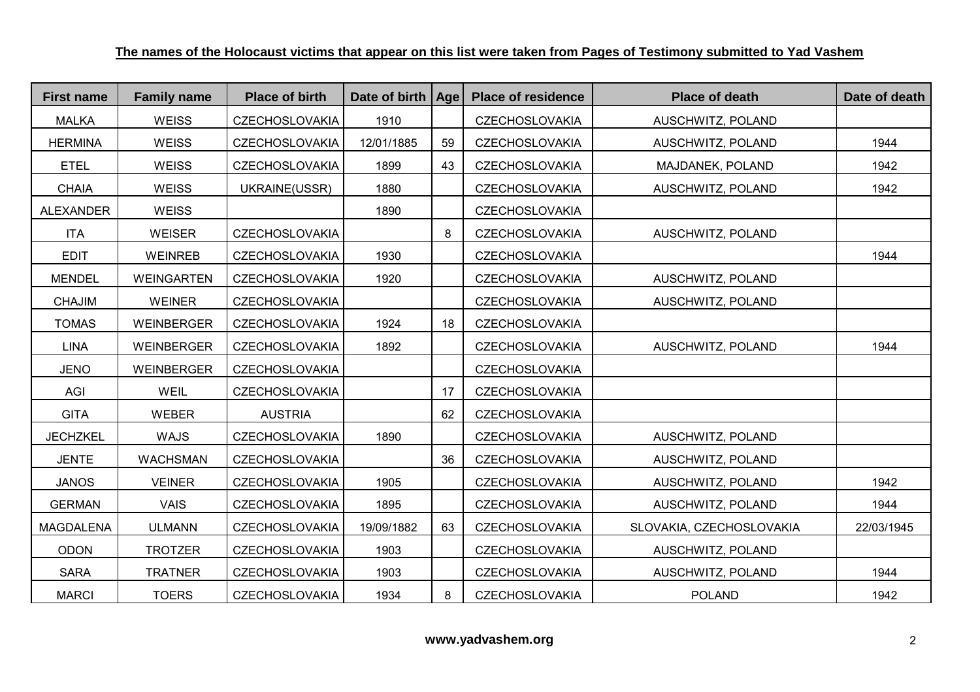| <b>First name</b> | <b>Family name</b> | <b>Place of birth</b> | Date of birth   Age |    | <b>Place of residence</b> | <b>Place of death</b>    | Date of death |
|-------------------|--------------------|-----------------------|---------------------|----|---------------------------|--------------------------|---------------|
| <b>MALKA</b>      | <b>WEISS</b>       | <b>CZECHOSLOVAKIA</b> | 1910                |    | <b>CZECHOSLOVAKIA</b>     | AUSCHWITZ, POLAND        |               |
| <b>HERMINA</b>    | <b>WEISS</b>       | <b>CZECHOSLOVAKIA</b> | 12/01/1885          | 59 | <b>CZECHOSLOVAKIA</b>     | AUSCHWITZ, POLAND        | 1944          |
| <b>ETEL</b>       | <b>WEISS</b>       | <b>CZECHOSLOVAKIA</b> | 1899                | 43 | <b>CZECHOSLOVAKIA</b>     | MAJDANEK, POLAND         | 1942          |
| <b>CHAIA</b>      | <b>WEISS</b>       | UKRAINE(USSR)         | 1880                |    | <b>CZECHOSLOVAKIA</b>     | AUSCHWITZ, POLAND        | 1942          |
| <b>ALEXANDER</b>  | <b>WEISS</b>       |                       | 1890                |    | <b>CZECHOSLOVAKIA</b>     |                          |               |
| <b>ITA</b>        | <b>WEISER</b>      | <b>CZECHOSLOVAKIA</b> |                     | 8  | <b>CZECHOSLOVAKIA</b>     | AUSCHWITZ, POLAND        |               |
| <b>EDIT</b>       | <b>WEINREB</b>     | <b>CZECHOSLOVAKIA</b> | 1930                |    | <b>CZECHOSLOVAKIA</b>     |                          | 1944          |
| <b>MENDEL</b>     | <b>WEINGARTEN</b>  | <b>CZECHOSLOVAKIA</b> | 1920                |    | <b>CZECHOSLOVAKIA</b>     | AUSCHWITZ, POLAND        |               |
| <b>CHAJIM</b>     | <b>WEINER</b>      | <b>CZECHOSLOVAKIA</b> |                     |    | <b>CZECHOSLOVAKIA</b>     | AUSCHWITZ, POLAND        |               |
| <b>TOMAS</b>      | <b>WEINBERGER</b>  | <b>CZECHOSLOVAKIA</b> | 1924                | 18 | <b>CZECHOSLOVAKIA</b>     |                          |               |
| <b>LINA</b>       | <b>WEINBERGER</b>  | <b>CZECHOSLOVAKIA</b> | 1892                |    | <b>CZECHOSLOVAKIA</b>     | AUSCHWITZ, POLAND        | 1944          |
| <b>JENO</b>       | <b>WEINBERGER</b>  | <b>CZECHOSLOVAKIA</b> |                     |    | <b>CZECHOSLOVAKIA</b>     |                          |               |
| AGI               | WEIL               | <b>CZECHOSLOVAKIA</b> |                     | 17 | <b>CZECHOSLOVAKIA</b>     |                          |               |
| <b>GITA</b>       | <b>WEBER</b>       | <b>AUSTRIA</b>        |                     | 62 | <b>CZECHOSLOVAKIA</b>     |                          |               |
| <b>JECHZKEL</b>   | <b>WAJS</b>        | <b>CZECHOSLOVAKIA</b> | 1890                |    | <b>CZECHOSLOVAKIA</b>     | AUSCHWITZ, POLAND        |               |
| <b>JENTE</b>      | <b>WACHSMAN</b>    | <b>CZECHOSLOVAKIA</b> |                     | 36 | <b>CZECHOSLOVAKIA</b>     | AUSCHWITZ, POLAND        |               |
| <b>JANOS</b>      | <b>VEINER</b>      | <b>CZECHOSLOVAKIA</b> | 1905                |    | <b>CZECHOSLOVAKIA</b>     | AUSCHWITZ, POLAND        | 1942          |
| <b>GERMAN</b>     | <b>VAIS</b>        | <b>CZECHOSLOVAKIA</b> | 1895                |    | <b>CZECHOSLOVAKIA</b>     | AUSCHWITZ, POLAND        | 1944          |
| <b>MAGDALENA</b>  | <b>ULMANN</b>      | <b>CZECHOSLOVAKIA</b> | 19/09/1882          | 63 | <b>CZECHOSLOVAKIA</b>     | SLOVAKIA, CZECHOSLOVAKIA | 22/03/1945    |
| <b>ODON</b>       | <b>TROTZER</b>     | <b>CZECHOSLOVAKIA</b> | 1903                |    | <b>CZECHOSLOVAKIA</b>     | AUSCHWITZ, POLAND        |               |
| <b>SARA</b>       | <b>TRATNER</b>     | <b>CZECHOSLOVAKIA</b> | 1903                |    | <b>CZECHOSLOVAKIA</b>     | AUSCHWITZ, POLAND        | 1944          |
| <b>MARCI</b>      | <b>TOERS</b>       | <b>CZECHOSLOVAKIA</b> | 1934                | 8  | <b>CZECHOSLOVAKIA</b>     | <b>POLAND</b>            | 1942          |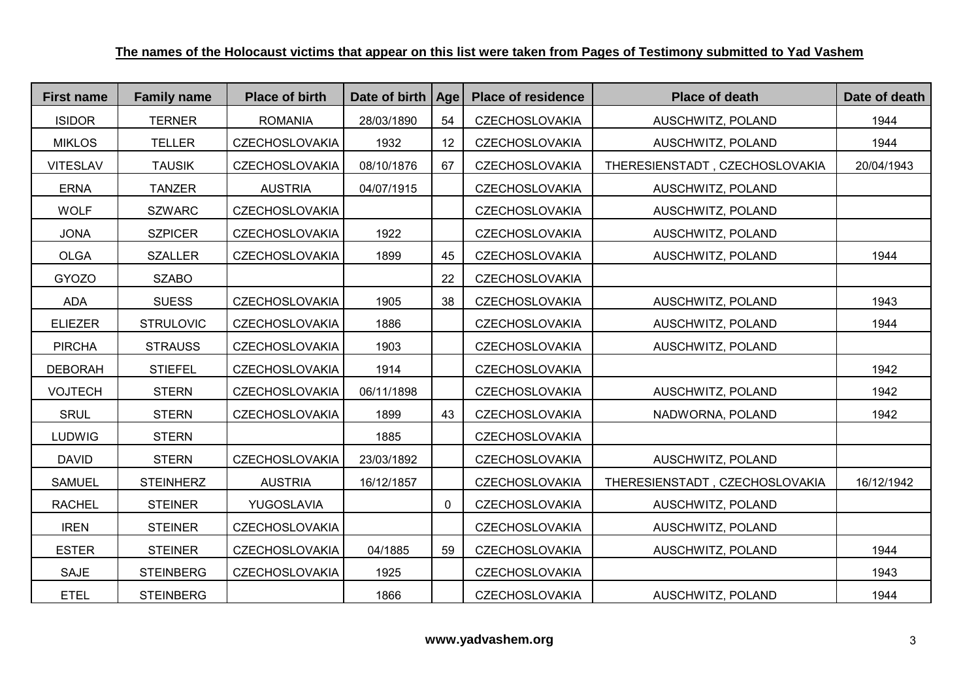| <b>First name</b> | <b>Family name</b> | <b>Place of birth</b> | Date of birth   Age |    | <b>Place of residence</b> | <b>Place of death</b>          | Date of death |
|-------------------|--------------------|-----------------------|---------------------|----|---------------------------|--------------------------------|---------------|
| <b>ISIDOR</b>     | <b>TERNER</b>      | <b>ROMANIA</b>        | 28/03/1890          | 54 | <b>CZECHOSLOVAKIA</b>     | AUSCHWITZ, POLAND              | 1944          |
| <b>MIKLOS</b>     | <b>TELLER</b>      | <b>CZECHOSLOVAKIA</b> | 1932                | 12 | <b>CZECHOSLOVAKIA</b>     | AUSCHWITZ, POLAND              | 1944          |
| <b>VITESLAV</b>   | <b>TAUSIK</b>      | CZECHOSLOVAKIA        | 08/10/1876          | 67 | <b>CZECHOSLOVAKIA</b>     | THERESIENSTADT, CZECHOSLOVAKIA | 20/04/1943    |
| <b>ERNA</b>       | <b>TANZER</b>      | <b>AUSTRIA</b>        | 04/07/1915          |    | <b>CZECHOSLOVAKIA</b>     | AUSCHWITZ, POLAND              |               |
| <b>WOLF</b>       | <b>SZWARC</b>      | <b>CZECHOSLOVAKIA</b> |                     |    | <b>CZECHOSLOVAKIA</b>     | AUSCHWITZ, POLAND              |               |
| <b>JONA</b>       | <b>SZPICER</b>     | <b>CZECHOSLOVAKIA</b> | 1922                |    | <b>CZECHOSLOVAKIA</b>     | AUSCHWITZ, POLAND              |               |
| <b>OLGA</b>       | <b>SZALLER</b>     | <b>CZECHOSLOVAKIA</b> | 1899                | 45 | <b>CZECHOSLOVAKIA</b>     | AUSCHWITZ, POLAND              | 1944          |
| <b>GYOZO</b>      | <b>SZABO</b>       |                       |                     | 22 | <b>CZECHOSLOVAKIA</b>     |                                |               |
| ADA               | <b>SUESS</b>       | <b>CZECHOSLOVAKIA</b> | 1905                | 38 | <b>CZECHOSLOVAKIA</b>     | AUSCHWITZ, POLAND              | 1943          |
| <b>ELIEZER</b>    | <b>STRULOVIC</b>   | <b>CZECHOSLOVAKIA</b> | 1886                |    | <b>CZECHOSLOVAKIA</b>     | AUSCHWITZ, POLAND              | 1944          |
| <b>PIRCHA</b>     | <b>STRAUSS</b>     | <b>CZECHOSLOVAKIA</b> | 1903                |    | <b>CZECHOSLOVAKIA</b>     | AUSCHWITZ, POLAND              |               |
| <b>DEBORAH</b>    | <b>STIEFEL</b>     | <b>CZECHOSLOVAKIA</b> | 1914                |    | <b>CZECHOSLOVAKIA</b>     |                                | 1942          |
| <b>VOJTECH</b>    | <b>STERN</b>       | <b>CZECHOSLOVAKIA</b> | 06/11/1898          |    | <b>CZECHOSLOVAKIA</b>     | AUSCHWITZ, POLAND              | 1942          |
| <b>SRUL</b>       | <b>STERN</b>       | <b>CZECHOSLOVAKIA</b> | 1899                | 43 | <b>CZECHOSLOVAKIA</b>     | NADWORNA, POLAND               | 1942          |
| <b>LUDWIG</b>     | <b>STERN</b>       |                       | 1885                |    | <b>CZECHOSLOVAKIA</b>     |                                |               |
| <b>DAVID</b>      | <b>STERN</b>       | <b>CZECHOSLOVAKIA</b> | 23/03/1892          |    | <b>CZECHOSLOVAKIA</b>     | AUSCHWITZ, POLAND              |               |
| <b>SAMUEL</b>     | <b>STEINHERZ</b>   | <b>AUSTRIA</b>        | 16/12/1857          |    | <b>CZECHOSLOVAKIA</b>     | THERESIENSTADT, CZECHOSLOVAKIA | 16/12/1942    |
| <b>RACHEL</b>     | <b>STEINER</b>     | YUGOSLAVIA            |                     | 0  | <b>CZECHOSLOVAKIA</b>     | AUSCHWITZ, POLAND              |               |
| <b>IREN</b>       | <b>STEINER</b>     | <b>CZECHOSLOVAKIA</b> |                     |    | <b>CZECHOSLOVAKIA</b>     | AUSCHWITZ, POLAND              |               |
| <b>ESTER</b>      | <b>STEINER</b>     | <b>CZECHOSLOVAKIA</b> | 04/1885             | 59 | <b>CZECHOSLOVAKIA</b>     | AUSCHWITZ, POLAND              | 1944          |
| <b>SAJE</b>       | <b>STEINBERG</b>   | <b>CZECHOSLOVAKIA</b> | 1925                |    | <b>CZECHOSLOVAKIA</b>     |                                | 1943          |
| <b>ETEL</b>       | <b>STEINBERG</b>   |                       | 1866                |    | <b>CZECHOSLOVAKIA</b>     | AUSCHWITZ, POLAND              | 1944          |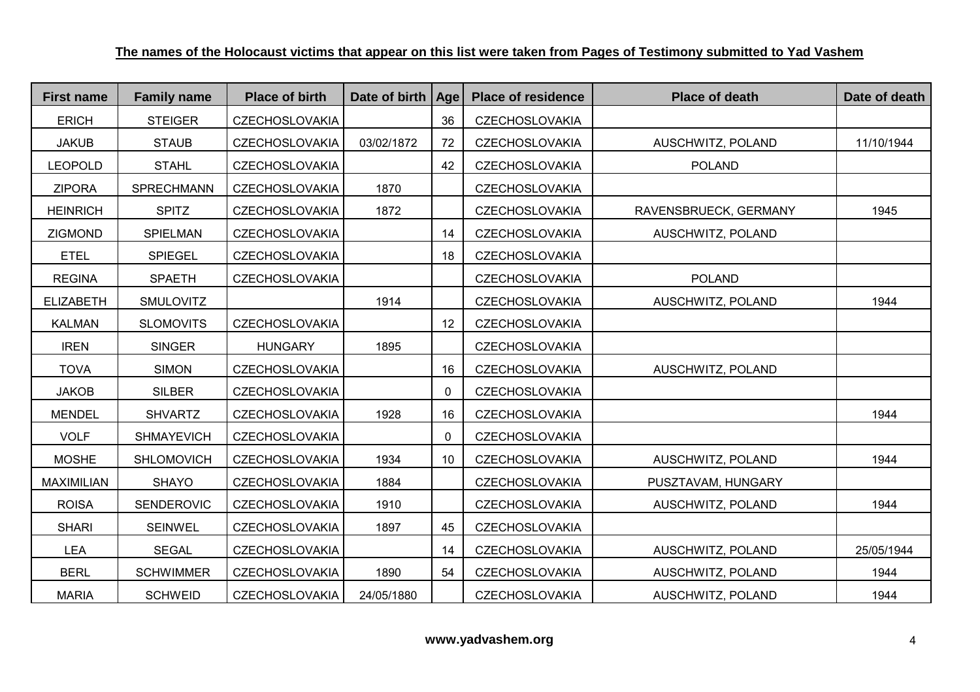| <b>First name</b> | <b>Family name</b> | <b>Place of birth</b> | Date of birth   Age |              | <b>Place of residence</b> | <b>Place of death</b> | Date of death |
|-------------------|--------------------|-----------------------|---------------------|--------------|---------------------------|-----------------------|---------------|
| <b>ERICH</b>      | <b>STEIGER</b>     | <b>CZECHOSLOVAKIA</b> |                     | 36           | <b>CZECHOSLOVAKIA</b>     |                       |               |
| <b>JAKUB</b>      | <b>STAUB</b>       | <b>CZECHOSLOVAKIA</b> | 03/02/1872          | 72           | <b>CZECHOSLOVAKIA</b>     | AUSCHWITZ, POLAND     | 11/10/1944    |
| <b>LEOPOLD</b>    | <b>STAHL</b>       | <b>CZECHOSLOVAKIA</b> |                     | 42           | CZECHOSLOVAKIA            | <b>POLAND</b>         |               |
| <b>ZIPORA</b>     | SPRECHMANN         | <b>CZECHOSLOVAKIA</b> | 1870                |              | <b>CZECHOSLOVAKIA</b>     |                       |               |
| <b>HEINRICH</b>   | <b>SPITZ</b>       | <b>CZECHOSLOVAKIA</b> | 1872                |              | <b>CZECHOSLOVAKIA</b>     | RAVENSBRUECK, GERMANY | 1945          |
| <b>ZIGMOND</b>    | SPIELMAN           | <b>CZECHOSLOVAKIA</b> |                     | 14           | <b>CZECHOSLOVAKIA</b>     | AUSCHWITZ, POLAND     |               |
| <b>ETEL</b>       | <b>SPIEGEL</b>     | <b>CZECHOSLOVAKIA</b> |                     | 18           | <b>CZECHOSLOVAKIA</b>     |                       |               |
| <b>REGINA</b>     | <b>SPAETH</b>      | <b>CZECHOSLOVAKIA</b> |                     |              | CZECHOSLOVAKIA            | <b>POLAND</b>         |               |
| <b>ELIZABETH</b>  | <b>SMULOVITZ</b>   |                       | 1914                |              | <b>CZECHOSLOVAKIA</b>     | AUSCHWITZ, POLAND     | 1944          |
| <b>KALMAN</b>     | <b>SLOMOVITS</b>   | <b>CZECHOSLOVAKIA</b> |                     | 12           | <b>CZECHOSLOVAKIA</b>     |                       |               |
| <b>IREN</b>       | <b>SINGER</b>      | <b>HUNGARY</b>        | 1895                |              | <b>CZECHOSLOVAKIA</b>     |                       |               |
| <b>TOVA</b>       | <b>SIMON</b>       | <b>CZECHOSLOVAKIA</b> |                     | 16           | <b>CZECHOSLOVAKIA</b>     | AUSCHWITZ, POLAND     |               |
| <b>JAKOB</b>      | <b>SILBER</b>      | <b>CZECHOSLOVAKIA</b> |                     | $\mathbf{0}$ | <b>CZECHOSLOVAKIA</b>     |                       |               |
| <b>MENDEL</b>     | <b>SHVARTZ</b>     | <b>CZECHOSLOVAKIA</b> | 1928                | 16           | <b>CZECHOSLOVAKIA</b>     |                       | 1944          |
| <b>VOLF</b>       | <b>SHMAYEVICH</b>  | <b>CZECHOSLOVAKIA</b> |                     | $\mathbf 0$  | <b>CZECHOSLOVAKIA</b>     |                       |               |
| <b>MOSHE</b>      | <b>SHLOMOVICH</b>  | <b>CZECHOSLOVAKIA</b> | 1934                | 10           | <b>CZECHOSLOVAKIA</b>     | AUSCHWITZ, POLAND     | 1944          |
| <b>MAXIMILIAN</b> | <b>SHAYO</b>       | <b>CZECHOSLOVAKIA</b> | 1884                |              | <b>CZECHOSLOVAKIA</b>     | PUSZTAVAM, HUNGARY    |               |
| <b>ROISA</b>      | SENDEROVIC         | <b>CZECHOSLOVAKIA</b> | 1910                |              | <b>CZECHOSLOVAKIA</b>     | AUSCHWITZ, POLAND     | 1944          |
| <b>SHARI</b>      | <b>SEINWEL</b>     | <b>CZECHOSLOVAKIA</b> | 1897                | 45           | <b>CZECHOSLOVAKIA</b>     |                       |               |
| <b>LEA</b>        | <b>SEGAL</b>       | <b>CZECHOSLOVAKIA</b> |                     | 14           | <b>CZECHOSLOVAKIA</b>     | AUSCHWITZ, POLAND     | 25/05/1944    |
| <b>BERL</b>       | <b>SCHWIMMER</b>   | <b>CZECHOSLOVAKIA</b> | 1890                | 54           | <b>CZECHOSLOVAKIA</b>     | AUSCHWITZ, POLAND     | 1944          |
| <b>MARIA</b>      | <b>SCHWEID</b>     | <b>CZECHOSLOVAKIA</b> | 24/05/1880          |              | <b>CZECHOSLOVAKIA</b>     | AUSCHWITZ, POLAND     | 1944          |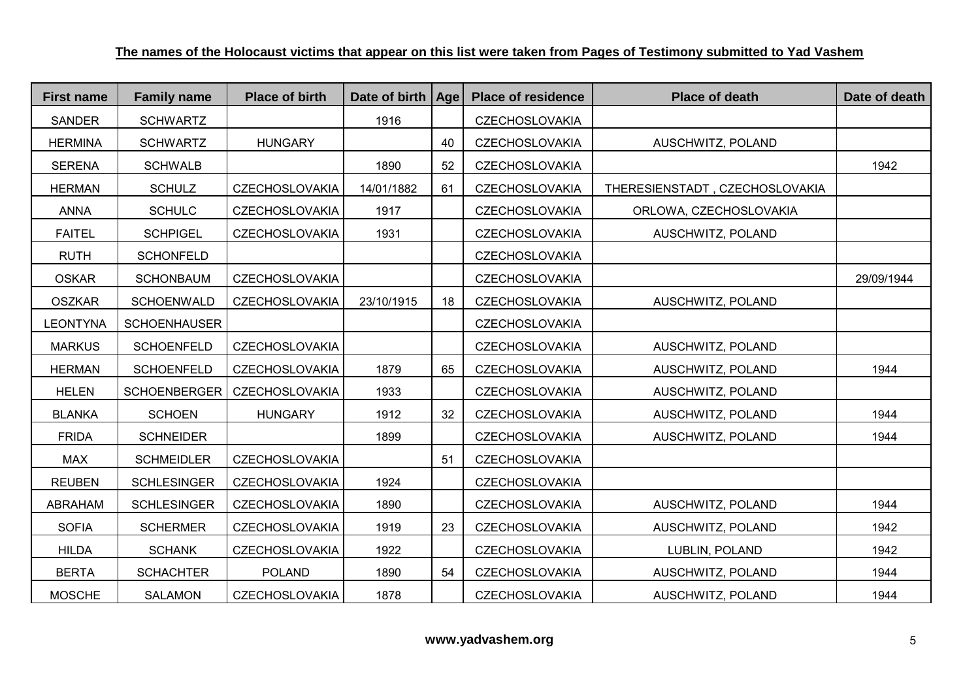| <b>First name</b> | <b>Family name</b>  | <b>Place of birth</b> | Date of birth   Age |    | <b>Place of residence</b> | <b>Place of death</b>          | Date of death |
|-------------------|---------------------|-----------------------|---------------------|----|---------------------------|--------------------------------|---------------|
| <b>SANDER</b>     | <b>SCHWARTZ</b>     |                       | 1916                |    | <b>CZECHOSLOVAKIA</b>     |                                |               |
| <b>HERMINA</b>    | <b>SCHWARTZ</b>     | <b>HUNGARY</b>        |                     | 40 | <b>CZECHOSLOVAKIA</b>     | AUSCHWITZ, POLAND              |               |
| <b>SERENA</b>     | <b>SCHWALB</b>      |                       | 1890                | 52 | <b>CZECHOSLOVAKIA</b>     |                                | 1942          |
| <b>HERMAN</b>     | <b>SCHULZ</b>       | <b>CZECHOSLOVAKIA</b> | 14/01/1882          | 61 | <b>CZECHOSLOVAKIA</b>     | THERESIENSTADT, CZECHOSLOVAKIA |               |
| <b>ANNA</b>       | <b>SCHULC</b>       | <b>CZECHOSLOVAKIA</b> | 1917                |    | <b>CZECHOSLOVAKIA</b>     | ORLOWA, CZECHOSLOVAKIA         |               |
| <b>FAITEL</b>     | <b>SCHPIGEL</b>     | <b>CZECHOSLOVAKIA</b> | 1931                |    | <b>CZECHOSLOVAKIA</b>     | AUSCHWITZ, POLAND              |               |
| <b>RUTH</b>       | <b>SCHONFELD</b>    |                       |                     |    | <b>CZECHOSLOVAKIA</b>     |                                |               |
| <b>OSKAR</b>      | <b>SCHONBAUM</b>    | <b>CZECHOSLOVAKIA</b> |                     |    | <b>CZECHOSLOVAKIA</b>     |                                | 29/09/1944    |
| <b>OSZKAR</b>     | <b>SCHOENWALD</b>   | <b>CZECHOSLOVAKIA</b> | 23/10/1915          | 18 | <b>CZECHOSLOVAKIA</b>     | AUSCHWITZ, POLAND              |               |
| <b>LEONTYNA</b>   | <b>SCHOENHAUSER</b> |                       |                     |    | <b>CZECHOSLOVAKIA</b>     |                                |               |
| <b>MARKUS</b>     | <b>SCHOENFELD</b>   | <b>CZECHOSLOVAKIA</b> |                     |    | <b>CZECHOSLOVAKIA</b>     | AUSCHWITZ, POLAND              |               |
| <b>HERMAN</b>     | <b>SCHOENFELD</b>   | <b>CZECHOSLOVAKIA</b> | 1879                | 65 | <b>CZECHOSLOVAKIA</b>     | AUSCHWITZ, POLAND              | 1944          |
| <b>HELEN</b>      | <b>SCHOENBERGER</b> | <b>CZECHOSLOVAKIA</b> | 1933                |    | <b>CZECHOSLOVAKIA</b>     | AUSCHWITZ, POLAND              |               |
| <b>BLANKA</b>     | <b>SCHOEN</b>       | <b>HUNGARY</b>        | 1912                | 32 | <b>CZECHOSLOVAKIA</b>     | AUSCHWITZ, POLAND              | 1944          |
| <b>FRIDA</b>      | <b>SCHNEIDER</b>    |                       | 1899                |    | <b>CZECHOSLOVAKIA</b>     | AUSCHWITZ, POLAND              | 1944          |
| <b>MAX</b>        | <b>SCHMEIDLER</b>   | <b>CZECHOSLOVAKIA</b> |                     | 51 | <b>CZECHOSLOVAKIA</b>     |                                |               |
| <b>REUBEN</b>     | <b>SCHLESINGER</b>  | <b>CZECHOSLOVAKIA</b> | 1924                |    | <b>CZECHOSLOVAKIA</b>     |                                |               |
| ABRAHAM           | <b>SCHLESINGER</b>  | <b>CZECHOSLOVAKIA</b> | 1890                |    | <b>CZECHOSLOVAKIA</b>     | AUSCHWITZ, POLAND              | 1944          |
| <b>SOFIA</b>      | <b>SCHERMER</b>     | <b>CZECHOSLOVAKIA</b> | 1919                | 23 | <b>CZECHOSLOVAKIA</b>     | AUSCHWITZ, POLAND              | 1942          |
| <b>HILDA</b>      | <b>SCHANK</b>       | <b>CZECHOSLOVAKIA</b> | 1922                |    | <b>CZECHOSLOVAKIA</b>     | LUBLIN, POLAND                 | 1942          |
| <b>BERTA</b>      | <b>SCHACHTER</b>    | <b>POLAND</b>         | 1890                | 54 | <b>CZECHOSLOVAKIA</b>     | AUSCHWITZ, POLAND              | 1944          |
| <b>MOSCHE</b>     | <b>SALAMON</b>      | <b>CZECHOSLOVAKIA</b> | 1878                |    | <b>CZECHOSLOVAKIA</b>     | AUSCHWITZ, POLAND              | 1944          |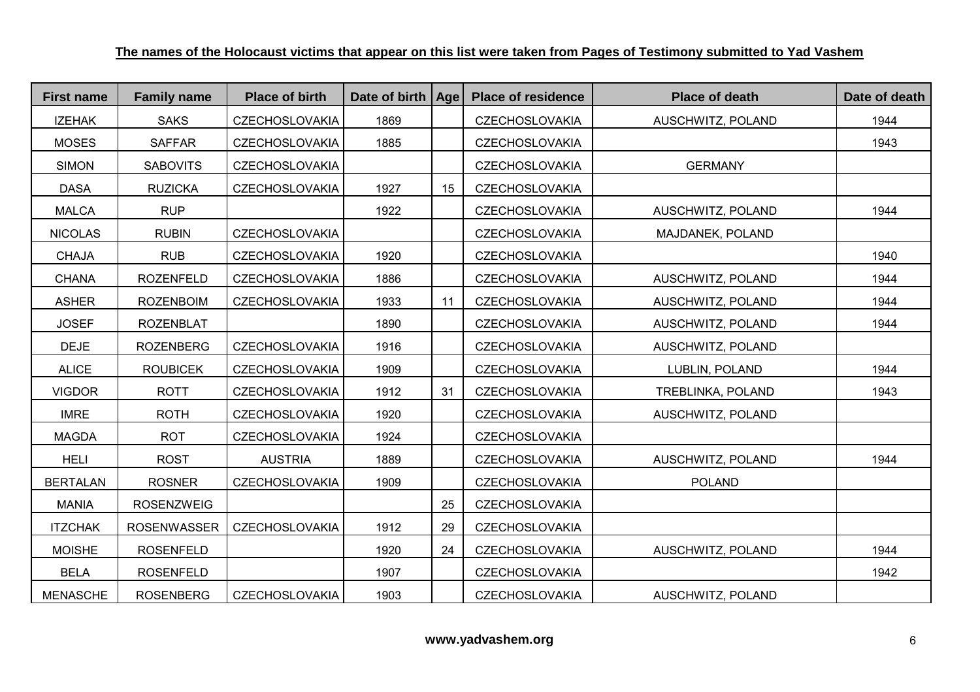| <b>First name</b> | <b>Family name</b> | <b>Place of birth</b> | Date of birth | Age | <b>Place of residence</b> | <b>Place of death</b> | Date of death |
|-------------------|--------------------|-----------------------|---------------|-----|---------------------------|-----------------------|---------------|
| <b>IZEHAK</b>     | <b>SAKS</b>        | <b>CZECHOSLOVAKIA</b> | 1869          |     | <b>CZECHOSLOVAKIA</b>     | AUSCHWITZ, POLAND     | 1944          |
| <b>MOSES</b>      | <b>SAFFAR</b>      | <b>CZECHOSLOVAKIA</b> | 1885          |     | <b>CZECHOSLOVAKIA</b>     |                       | 1943          |
| <b>SIMON</b>      | <b>SABOVITS</b>    | <b>CZECHOSLOVAKIA</b> |               |     | <b>CZECHOSLOVAKIA</b>     | <b>GERMANY</b>        |               |
| <b>DASA</b>       | <b>RUZICKA</b>     | <b>CZECHOSLOVAKIA</b> | 1927          | 15  | <b>CZECHOSLOVAKIA</b>     |                       |               |
| <b>MALCA</b>      | <b>RUP</b>         |                       | 1922          |     | <b>CZECHOSLOVAKIA</b>     | AUSCHWITZ, POLAND     | 1944          |
| <b>NICOLAS</b>    | <b>RUBIN</b>       | <b>CZECHOSLOVAKIA</b> |               |     | <b>CZECHOSLOVAKIA</b>     | MAJDANEK, POLAND      |               |
| <b>CHAJA</b>      | <b>RUB</b>         | <b>CZECHOSLOVAKIA</b> | 1920          |     | <b>CZECHOSLOVAKIA</b>     |                       | 1940          |
| <b>CHANA</b>      | <b>ROZENFELD</b>   | <b>CZECHOSLOVAKIA</b> | 1886          |     | <b>CZECHOSLOVAKIA</b>     | AUSCHWITZ, POLAND     | 1944          |
| <b>ASHER</b>      | <b>ROZENBOIM</b>   | <b>CZECHOSLOVAKIA</b> | 1933          | 11  | <b>CZECHOSLOVAKIA</b>     | AUSCHWITZ, POLAND     | 1944          |
| <b>JOSEF</b>      | <b>ROZENBLAT</b>   |                       | 1890          |     | <b>CZECHOSLOVAKIA</b>     | AUSCHWITZ, POLAND     | 1944          |
| <b>DEJE</b>       | <b>ROZENBERG</b>   | <b>CZECHOSLOVAKIA</b> | 1916          |     | <b>CZECHOSLOVAKIA</b>     | AUSCHWITZ, POLAND     |               |
| <b>ALICE</b>      | <b>ROUBICEK</b>    | <b>CZECHOSLOVAKIA</b> | 1909          |     | <b>CZECHOSLOVAKIA</b>     | LUBLIN, POLAND        | 1944          |
| <b>VIGDOR</b>     | <b>ROTT</b>        | <b>CZECHOSLOVAKIA</b> | 1912          | 31  | <b>CZECHOSLOVAKIA</b>     | TREBLINKA, POLAND     | 1943          |
| <b>IMRE</b>       | <b>ROTH</b>        | <b>CZECHOSLOVAKIA</b> | 1920          |     | <b>CZECHOSLOVAKIA</b>     | AUSCHWITZ, POLAND     |               |
| <b>MAGDA</b>      | <b>ROT</b>         | <b>CZECHOSLOVAKIA</b> | 1924          |     | <b>CZECHOSLOVAKIA</b>     |                       |               |
| <b>HELI</b>       | <b>ROST</b>        | <b>AUSTRIA</b>        | 1889          |     | <b>CZECHOSLOVAKIA</b>     | AUSCHWITZ, POLAND     | 1944          |
| <b>BERTALAN</b>   | <b>ROSNER</b>      | <b>CZECHOSLOVAKIA</b> | 1909          |     | <b>CZECHOSLOVAKIA</b>     | <b>POLAND</b>         |               |
| <b>MANIA</b>      | <b>ROSENZWEIG</b>  |                       |               | 25  | <b>CZECHOSLOVAKIA</b>     |                       |               |
| <b>ITZCHAK</b>    | <b>ROSENWASSER</b> | <b>CZECHOSLOVAKIA</b> | 1912          | 29  | <b>CZECHOSLOVAKIA</b>     |                       |               |
| <b>MOISHE</b>     | <b>ROSENFELD</b>   |                       | 1920          | 24  | <b>CZECHOSLOVAKIA</b>     | AUSCHWITZ, POLAND     | 1944          |
| <b>BELA</b>       | <b>ROSENFELD</b>   |                       | 1907          |     | <b>CZECHOSLOVAKIA</b>     |                       | 1942          |
| <b>MENASCHE</b>   | <b>ROSENBERG</b>   | <b>CZECHOSLOVAKIA</b> | 1903          |     | <b>CZECHOSLOVAKIA</b>     | AUSCHWITZ, POLAND     |               |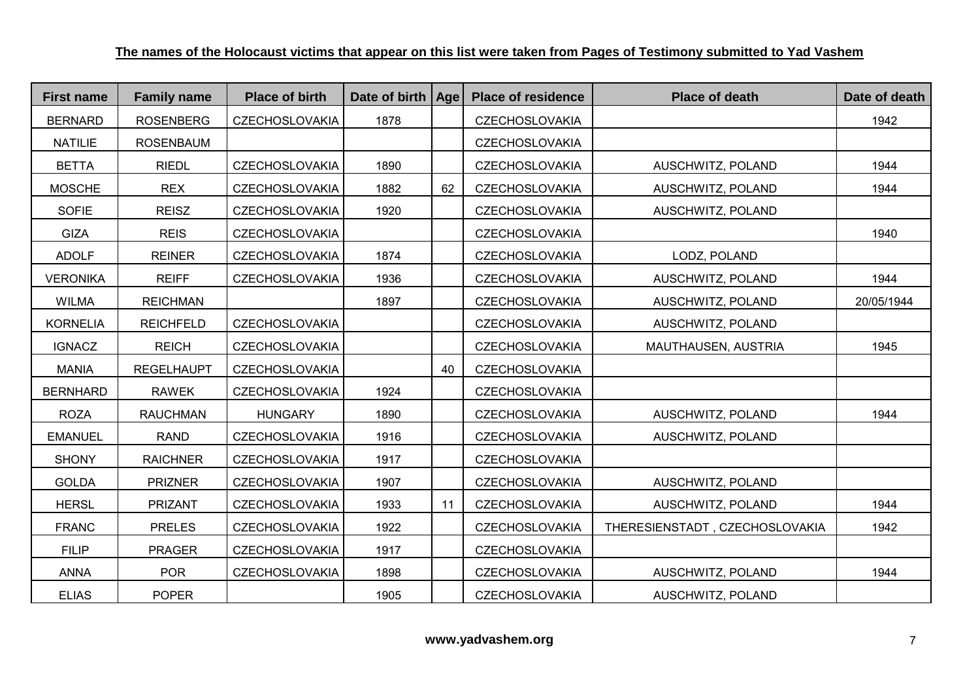| <b>First name</b> | <b>Family name</b> | <b>Place of birth</b> | Date of birth   Age |    | <b>Place of residence</b> | <b>Place of death</b>          | Date of death |
|-------------------|--------------------|-----------------------|---------------------|----|---------------------------|--------------------------------|---------------|
| <b>BERNARD</b>    | <b>ROSENBERG</b>   | <b>CZECHOSLOVAKIA</b> | 1878                |    | <b>CZECHOSLOVAKIA</b>     |                                | 1942          |
| <b>NATILIE</b>    | <b>ROSENBAUM</b>   |                       |                     |    | <b>CZECHOSLOVAKIA</b>     |                                |               |
| <b>BETTA</b>      | <b>RIEDL</b>       | <b>CZECHOSLOVAKIA</b> | 1890                |    | <b>CZECHOSLOVAKIA</b>     | AUSCHWITZ, POLAND              | 1944          |
| <b>MOSCHE</b>     | <b>REX</b>         | <b>CZECHOSLOVAKIA</b> | 1882                | 62 | <b>CZECHOSLOVAKIA</b>     | AUSCHWITZ, POLAND              | 1944          |
| <b>SOFIE</b>      | <b>REISZ</b>       | <b>CZECHOSLOVAKIA</b> | 1920                |    | <b>CZECHOSLOVAKIA</b>     | AUSCHWITZ, POLAND              |               |
| <b>GIZA</b>       | <b>REIS</b>        | <b>CZECHOSLOVAKIA</b> |                     |    | <b>CZECHOSLOVAKIA</b>     |                                | 1940          |
| <b>ADOLF</b>      | <b>REINER</b>      | <b>CZECHOSLOVAKIA</b> | 1874                |    | CZECHOSLOVAKIA            | LODZ, POLAND                   |               |
| <b>VERONIKA</b>   | <b>REIFF</b>       | <b>CZECHOSLOVAKIA</b> | 1936                |    | <b>CZECHOSLOVAKIA</b>     | AUSCHWITZ, POLAND              | 1944          |
| <b>WILMA</b>      | <b>REICHMAN</b>    |                       | 1897                |    | <b>CZECHOSLOVAKIA</b>     | AUSCHWITZ, POLAND              | 20/05/1944    |
| <b>KORNELIA</b>   | <b>REICHFELD</b>   | <b>CZECHOSLOVAKIA</b> |                     |    | <b>CZECHOSLOVAKIA</b>     | AUSCHWITZ, POLAND              |               |
| <b>IGNACZ</b>     | <b>REICH</b>       | <b>CZECHOSLOVAKIA</b> |                     |    | <b>CZECHOSLOVAKIA</b>     | MAUTHAUSEN, AUSTRIA            | 1945          |
| <b>MANIA</b>      | <b>REGELHAUPT</b>  | <b>CZECHOSLOVAKIA</b> |                     | 40 | <b>CZECHOSLOVAKIA</b>     |                                |               |
| <b>BERNHARD</b>   | <b>RAWEK</b>       | <b>CZECHOSLOVAKIA</b> | 1924                |    | <b>CZECHOSLOVAKIA</b>     |                                |               |
| <b>ROZA</b>       | <b>RAUCHMAN</b>    | <b>HUNGARY</b>        | 1890                |    | <b>CZECHOSLOVAKIA</b>     | AUSCHWITZ, POLAND              | 1944          |
| <b>EMANUEL</b>    | <b>RAND</b>        | <b>CZECHOSLOVAKIA</b> | 1916                |    | <b>CZECHOSLOVAKIA</b>     | AUSCHWITZ, POLAND              |               |
| <b>SHONY</b>      | <b>RAICHNER</b>    | <b>CZECHOSLOVAKIA</b> | 1917                |    | <b>CZECHOSLOVAKIA</b>     |                                |               |
| <b>GOLDA</b>      | <b>PRIZNER</b>     | <b>CZECHOSLOVAKIA</b> | 1907                |    | <b>CZECHOSLOVAKIA</b>     | AUSCHWITZ, POLAND              |               |
| <b>HERSL</b>      | <b>PRIZANT</b>     | <b>CZECHOSLOVAKIA</b> | 1933                | 11 | <b>CZECHOSLOVAKIA</b>     | AUSCHWITZ, POLAND              | 1944          |
| <b>FRANC</b>      | <b>PRELES</b>      | <b>CZECHOSLOVAKIA</b> | 1922                |    | <b>CZECHOSLOVAKIA</b>     | THERESIENSTADT, CZECHOSLOVAKIA | 1942          |
| <b>FILIP</b>      | <b>PRAGER</b>      | <b>CZECHOSLOVAKIA</b> | 1917                |    | <b>CZECHOSLOVAKIA</b>     |                                |               |
| <b>ANNA</b>       | <b>POR</b>         | <b>CZECHOSLOVAKIA</b> | 1898                |    | <b>CZECHOSLOVAKIA</b>     | AUSCHWITZ, POLAND              | 1944          |
| <b>ELIAS</b>      | <b>POPER</b>       |                       | 1905                |    | <b>CZECHOSLOVAKIA</b>     | AUSCHWITZ, POLAND              |               |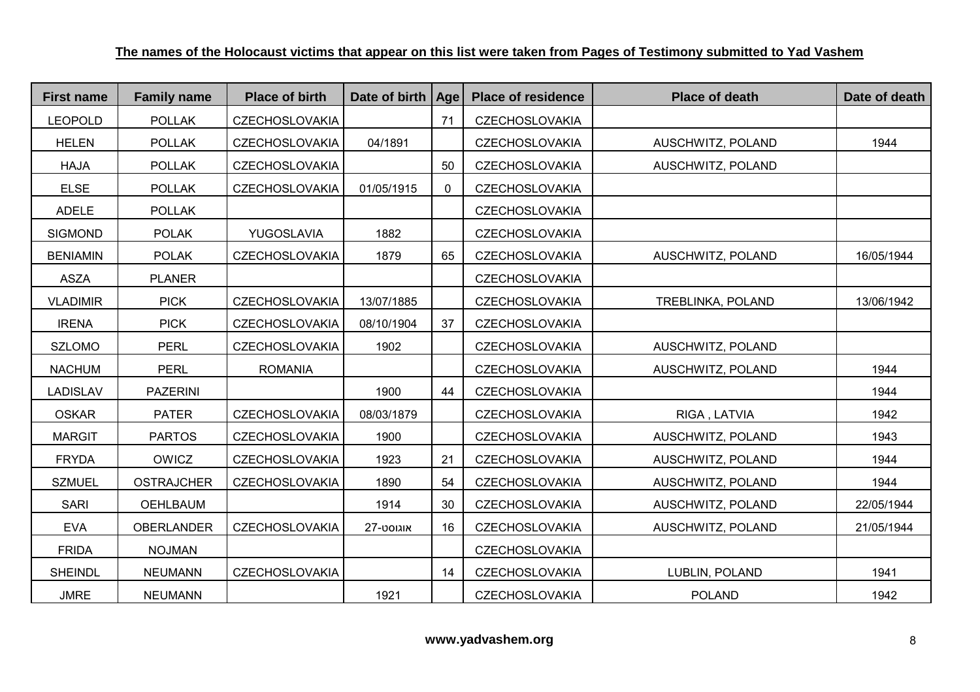| <b>First name</b> | <b>Family name</b> | <b>Place of birth</b> | Date of birth   Age |              | <b>Place of residence</b> | <b>Place of death</b> | Date of death |
|-------------------|--------------------|-----------------------|---------------------|--------------|---------------------------|-----------------------|---------------|
| <b>LEOPOLD</b>    | <b>POLLAK</b>      | <b>CZECHOSLOVAKIA</b> |                     | 71           | <b>CZECHOSLOVAKIA</b>     |                       |               |
| <b>HELEN</b>      | <b>POLLAK</b>      | <b>CZECHOSLOVAKIA</b> | 04/1891             |              | <b>CZECHOSLOVAKIA</b>     | AUSCHWITZ, POLAND     | 1944          |
| <b>HAJA</b>       | <b>POLLAK</b>      | <b>CZECHOSLOVAKIA</b> |                     | 50           | <b>CZECHOSLOVAKIA</b>     | AUSCHWITZ, POLAND     |               |
| <b>ELSE</b>       | <b>POLLAK</b>      | <b>CZECHOSLOVAKIA</b> | 01/05/1915          | $\mathbf{0}$ | <b>CZECHOSLOVAKIA</b>     |                       |               |
| <b>ADELE</b>      | <b>POLLAK</b>      |                       |                     |              | <b>CZECHOSLOVAKIA</b>     |                       |               |
| <b>SIGMOND</b>    | <b>POLAK</b>       | YUGOSLAVIA            | 1882                |              | <b>CZECHOSLOVAKIA</b>     |                       |               |
| <b>BENIAMIN</b>   | <b>POLAK</b>       | <b>CZECHOSLOVAKIA</b> | 1879                | 65           | <b>CZECHOSLOVAKIA</b>     | AUSCHWITZ, POLAND     | 16/05/1944    |
| <b>ASZA</b>       | <b>PLANER</b>      |                       |                     |              | <b>CZECHOSLOVAKIA</b>     |                       |               |
| <b>VLADIMIR</b>   | <b>PICK</b>        | <b>CZECHOSLOVAKIA</b> | 13/07/1885          |              | <b>CZECHOSLOVAKIA</b>     | TREBLINKA, POLAND     | 13/06/1942    |
| <b>IRENA</b>      | <b>PICK</b>        | <b>CZECHOSLOVAKIA</b> | 08/10/1904          | 37           | <b>CZECHOSLOVAKIA</b>     |                       |               |
| <b>SZLOMO</b>     | <b>PERL</b>        | <b>CZECHOSLOVAKIA</b> | 1902                |              | <b>CZECHOSLOVAKIA</b>     | AUSCHWITZ, POLAND     |               |
| <b>NACHUM</b>     | <b>PERL</b>        | <b>ROMANIA</b>        |                     |              | <b>CZECHOSLOVAKIA</b>     | AUSCHWITZ, POLAND     | 1944          |
| <b>LADISLAV</b>   | <b>PAZERINI</b>    |                       | 1900                | 44           | <b>CZECHOSLOVAKIA</b>     |                       | 1944          |
| <b>OSKAR</b>      | <b>PATER</b>       | <b>CZECHOSLOVAKIA</b> | 08/03/1879          |              | <b>CZECHOSLOVAKIA</b>     | RIGA, LATVIA          | 1942          |
| <b>MARGIT</b>     | <b>PARTOS</b>      | <b>CZECHOSLOVAKIA</b> | 1900                |              | <b>CZECHOSLOVAKIA</b>     | AUSCHWITZ, POLAND     | 1943          |
| <b>FRYDA</b>      | <b>OWICZ</b>       | <b>CZECHOSLOVAKIA</b> | 1923                | 21           | <b>CZECHOSLOVAKIA</b>     | AUSCHWITZ, POLAND     | 1944          |
| <b>SZMUEL</b>     | <b>OSTRAJCHER</b>  | <b>CZECHOSLOVAKIA</b> | 1890                | 54           | <b>CZECHOSLOVAKIA</b>     | AUSCHWITZ, POLAND     | 1944          |
| <b>SARI</b>       | <b>OEHLBAUM</b>    |                       | 1914                | 30           | <b>CZECHOSLOVAKIA</b>     | AUSCHWITZ, POLAND     | 22/05/1944    |
| <b>EVA</b>        | <b>OBERLANDER</b>  | <b>CZECHOSLOVAKIA</b> | אוגוסט-27           | 16           | <b>CZECHOSLOVAKIA</b>     | AUSCHWITZ, POLAND     | 21/05/1944    |
| <b>FRIDA</b>      | <b>NOJMAN</b>      |                       |                     |              | <b>CZECHOSLOVAKIA</b>     |                       |               |
| <b>SHEINDL</b>    | <b>NEUMANN</b>     | <b>CZECHOSLOVAKIA</b> |                     | 14           | <b>CZECHOSLOVAKIA</b>     | LUBLIN, POLAND        | 1941          |
| <b>JMRE</b>       | <b>NEUMANN</b>     |                       | 1921                |              | <b>CZECHOSLOVAKIA</b>     | <b>POLAND</b>         | 1942          |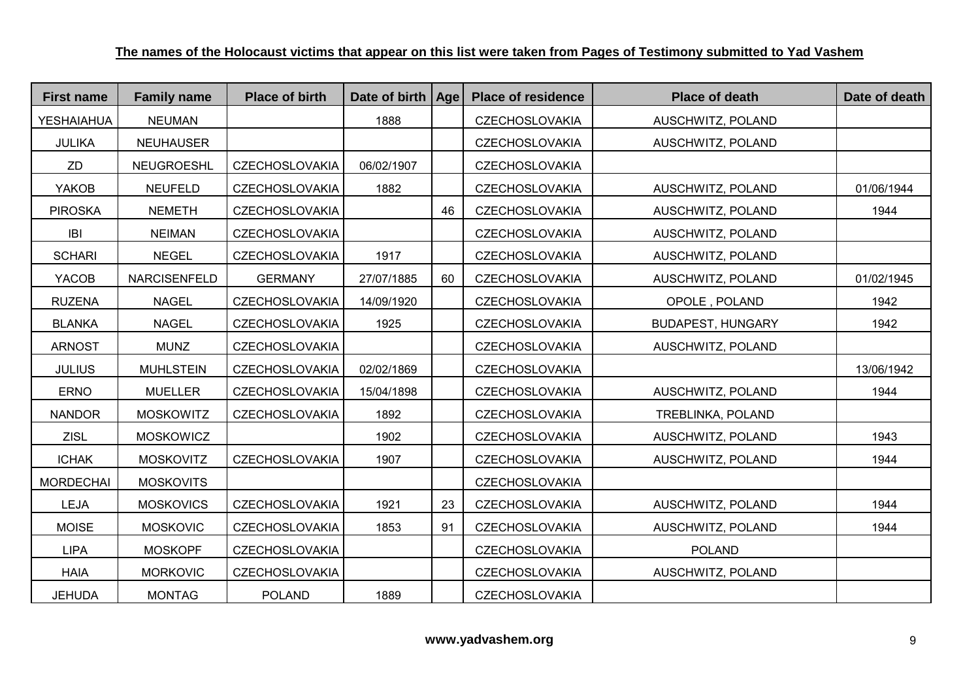| <b>First name</b> | <b>Family name</b>  | <b>Place of birth</b> | Date of birth   Age |    | <b>Place of residence</b> | <b>Place of death</b>    | Date of death |
|-------------------|---------------------|-----------------------|---------------------|----|---------------------------|--------------------------|---------------|
| <b>YESHAIAHUA</b> | <b>NEUMAN</b>       |                       | 1888                |    | <b>CZECHOSLOVAKIA</b>     | AUSCHWITZ, POLAND        |               |
| <b>JULIKA</b>     | <b>NEUHAUSER</b>    |                       |                     |    | <b>CZECHOSLOVAKIA</b>     | AUSCHWITZ, POLAND        |               |
| ZD                | NEUGROESHL          | <b>CZECHOSLOVAKIA</b> | 06/02/1907          |    | <b>CZECHOSLOVAKIA</b>     |                          |               |
| YAKOB             | <b>NEUFELD</b>      | <b>CZECHOSLOVAKIA</b> | 1882                |    | <b>CZECHOSLOVAKIA</b>     | AUSCHWITZ, POLAND        | 01/06/1944    |
| <b>PIROSKA</b>    | <b>NEMETH</b>       | <b>CZECHOSLOVAKIA</b> |                     | 46 | <b>CZECHOSLOVAKIA</b>     | AUSCHWITZ, POLAND        | 1944          |
| IBI               | <b>NEIMAN</b>       | <b>CZECHOSLOVAKIA</b> |                     |    | <b>CZECHOSLOVAKIA</b>     | AUSCHWITZ, POLAND        |               |
| <b>SCHARI</b>     | <b>NEGEL</b>        | <b>CZECHOSLOVAKIA</b> | 1917                |    | <b>CZECHOSLOVAKIA</b>     | AUSCHWITZ, POLAND        |               |
| YACOB             | <b>NARCISENFELD</b> | <b>GERMANY</b>        | 27/07/1885          | 60 | <b>CZECHOSLOVAKIA</b>     | AUSCHWITZ, POLAND        | 01/02/1945    |
| <b>RUZENA</b>     | <b>NAGEL</b>        | <b>CZECHOSLOVAKIA</b> | 14/09/1920          |    | <b>CZECHOSLOVAKIA</b>     | OPOLE, POLAND            | 1942          |
| <b>BLANKA</b>     | <b>NAGEL</b>        | <b>CZECHOSLOVAKIA</b> | 1925                |    | <b>CZECHOSLOVAKIA</b>     | <b>BUDAPEST, HUNGARY</b> | 1942          |
| <b>ARNOST</b>     | <b>MUNZ</b>         | <b>CZECHOSLOVAKIA</b> |                     |    | <b>CZECHOSLOVAKIA</b>     | AUSCHWITZ, POLAND        |               |
| <b>JULIUS</b>     | <b>MUHLSTEIN</b>    | <b>CZECHOSLOVAKIA</b> | 02/02/1869          |    | <b>CZECHOSLOVAKIA</b>     |                          | 13/06/1942    |
| <b>ERNO</b>       | <b>MUELLER</b>      | <b>CZECHOSLOVAKIA</b> | 15/04/1898          |    | <b>CZECHOSLOVAKIA</b>     | AUSCHWITZ, POLAND        | 1944          |
| <b>NANDOR</b>     | <b>MOSKOWITZ</b>    | <b>CZECHOSLOVAKIA</b> | 1892                |    | <b>CZECHOSLOVAKIA</b>     | TREBLINKA, POLAND        |               |
| <b>ZISL</b>       | <b>MOSKOWICZ</b>    |                       | 1902                |    | <b>CZECHOSLOVAKIA</b>     | AUSCHWITZ, POLAND        | 1943          |
| <b>ICHAK</b>      | <b>MOSKOVITZ</b>    | <b>CZECHOSLOVAKIA</b> | 1907                |    | <b>CZECHOSLOVAKIA</b>     | AUSCHWITZ, POLAND        | 1944          |
| <b>MORDECHAI</b>  | <b>MOSKOVITS</b>    |                       |                     |    | <b>CZECHOSLOVAKIA</b>     |                          |               |
| <b>LEJA</b>       | <b>MOSKOVICS</b>    | <b>CZECHOSLOVAKIA</b> | 1921                | 23 | <b>CZECHOSLOVAKIA</b>     | AUSCHWITZ, POLAND        | 1944          |
| <b>MOISE</b>      | <b>MOSKOVIC</b>     | <b>CZECHOSLOVAKIA</b> | 1853                | 91 | <b>CZECHOSLOVAKIA</b>     | AUSCHWITZ, POLAND        | 1944          |
| <b>LIPA</b>       | <b>MOSKOPF</b>      | <b>CZECHOSLOVAKIA</b> |                     |    | <b>CZECHOSLOVAKIA</b>     | <b>POLAND</b>            |               |
| <b>HAIA</b>       | <b>MORKOVIC</b>     | <b>CZECHOSLOVAKIA</b> |                     |    | <b>CZECHOSLOVAKIA</b>     | AUSCHWITZ, POLAND        |               |
| <b>JEHUDA</b>     | <b>MONTAG</b>       | <b>POLAND</b>         | 1889                |    | <b>CZECHOSLOVAKIA</b>     |                          |               |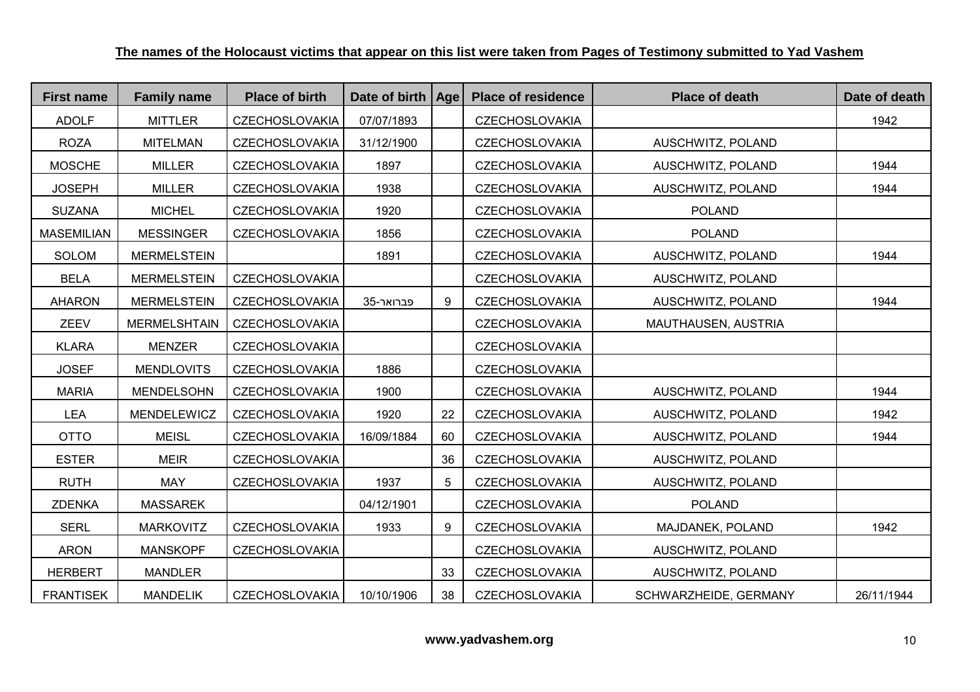| <b>First name</b> | <b>Family name</b>  | <b>Place of birth</b> | Date of birth   Age |    | <b>Place of residence</b> | <b>Place of death</b> | Date of death |
|-------------------|---------------------|-----------------------|---------------------|----|---------------------------|-----------------------|---------------|
| <b>ADOLF</b>      | <b>MITTLER</b>      | <b>CZECHOSLOVAKIA</b> | 07/07/1893          |    | <b>CZECHOSLOVAKIA</b>     |                       | 1942          |
| <b>ROZA</b>       | <b>MITELMAN</b>     | <b>CZECHOSLOVAKIA</b> | 31/12/1900          |    | <b>CZECHOSLOVAKIA</b>     | AUSCHWITZ, POLAND     |               |
| <b>MOSCHE</b>     | <b>MILLER</b>       | <b>CZECHOSLOVAKIA</b> | 1897                |    | <b>CZECHOSLOVAKIA</b>     | AUSCHWITZ, POLAND     | 1944          |
| <b>JOSEPH</b>     | <b>MILLER</b>       | <b>CZECHOSLOVAKIA</b> | 1938                |    | <b>CZECHOSLOVAKIA</b>     | AUSCHWITZ, POLAND     | 1944          |
| <b>SUZANA</b>     | <b>MICHEL</b>       | <b>CZECHOSLOVAKIA</b> | 1920                |    | <b>CZECHOSLOVAKIA</b>     | <b>POLAND</b>         |               |
| <b>MASEMILIAN</b> | <b>MESSINGER</b>    | <b>CZECHOSLOVAKIA</b> | 1856                |    | <b>CZECHOSLOVAKIA</b>     | <b>POLAND</b>         |               |
| <b>SOLOM</b>      | <b>MERMELSTEIN</b>  |                       | 1891                |    | <b>CZECHOSLOVAKIA</b>     | AUSCHWITZ, POLAND     | 1944          |
| <b>BELA</b>       | <b>MERMELSTEIN</b>  | <b>CZECHOSLOVAKIA</b> |                     |    | <b>CZECHOSLOVAKIA</b>     | AUSCHWITZ, POLAND     |               |
| <b>AHARON</b>     | <b>MERMELSTEIN</b>  | <b>CZECHOSLOVAKIA</b> | 35-פברואר           | 9  | <b>CZECHOSLOVAKIA</b>     | AUSCHWITZ, POLAND     | 1944          |
| <b>ZEEV</b>       | <b>MERMELSHTAIN</b> | <b>CZECHOSLOVAKIA</b> |                     |    | <b>CZECHOSLOVAKIA</b>     | MAUTHAUSEN, AUSTRIA   |               |
| <b>KLARA</b>      | <b>MENZER</b>       | <b>CZECHOSLOVAKIA</b> |                     |    | <b>CZECHOSLOVAKIA</b>     |                       |               |
| <b>JOSEF</b>      | <b>MENDLOVITS</b>   | <b>CZECHOSLOVAKIA</b> | 1886                |    | <b>CZECHOSLOVAKIA</b>     |                       |               |
| <b>MARIA</b>      | <b>MENDELSOHN</b>   | <b>CZECHOSLOVAKIA</b> | 1900                |    | <b>CZECHOSLOVAKIA</b>     | AUSCHWITZ, POLAND     | 1944          |
| <b>LEA</b>        | MENDELEWICZ         | <b>CZECHOSLOVAKIA</b> | 1920                | 22 | <b>CZECHOSLOVAKIA</b>     | AUSCHWITZ, POLAND     | 1942          |
| <b>OTTO</b>       | <b>MEISL</b>        | <b>CZECHOSLOVAKIA</b> | 16/09/1884          | 60 | <b>CZECHOSLOVAKIA</b>     | AUSCHWITZ, POLAND     | 1944          |
| <b>ESTER</b>      | <b>MEIR</b>         | <b>CZECHOSLOVAKIA</b> |                     | 36 | <b>CZECHOSLOVAKIA</b>     | AUSCHWITZ, POLAND     |               |
| <b>RUTH</b>       | <b>MAY</b>          | <b>CZECHOSLOVAKIA</b> | 1937                | 5  | <b>CZECHOSLOVAKIA</b>     | AUSCHWITZ, POLAND     |               |
| <b>ZDENKA</b>     | <b>MASSAREK</b>     |                       | 04/12/1901          |    | <b>CZECHOSLOVAKIA</b>     | <b>POLAND</b>         |               |
| <b>SERL</b>       | <b>MARKOVITZ</b>    | <b>CZECHOSLOVAKIA</b> | 1933                | 9  | <b>CZECHOSLOVAKIA</b>     | MAJDANEK, POLAND      | 1942          |
| <b>ARON</b>       | <b>MANSKOPF</b>     | <b>CZECHOSLOVAKIA</b> |                     |    | <b>CZECHOSLOVAKIA</b>     | AUSCHWITZ, POLAND     |               |
| <b>HERBERT</b>    | <b>MANDLER</b>      |                       |                     | 33 | <b>CZECHOSLOVAKIA</b>     | AUSCHWITZ, POLAND     |               |
| <b>FRANTISEK</b>  | <b>MANDELIK</b>     | <b>CZECHOSLOVAKIA</b> | 10/10/1906          | 38 | <b>CZECHOSLOVAKIA</b>     | SCHWARZHEIDE, GERMANY | 26/11/1944    |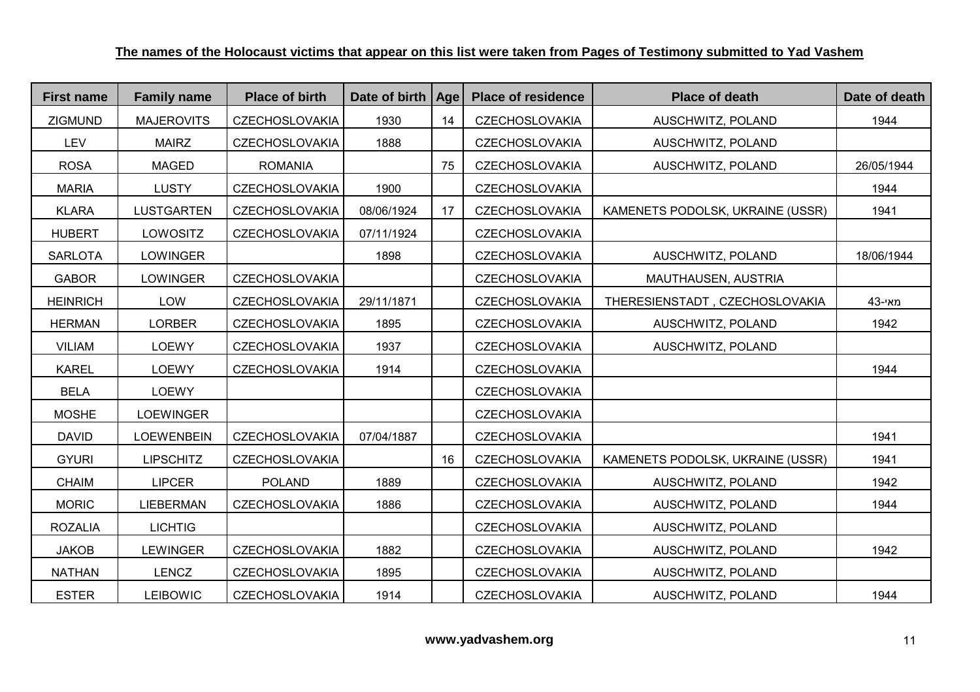| <b>First name</b> | <b>Family name</b> | <b>Place of birth</b> | Date of birth | Age | <b>Place of residence</b> | <b>Place of death</b>            | Date of death |
|-------------------|--------------------|-----------------------|---------------|-----|---------------------------|----------------------------------|---------------|
| <b>ZIGMUND</b>    | <b>MAJEROVITS</b>  | <b>CZECHOSLOVAKIA</b> | 1930          | 14  | <b>CZECHOSLOVAKIA</b>     | AUSCHWITZ, POLAND                | 1944          |
| <b>LEV</b>        | <b>MAIRZ</b>       | <b>CZECHOSLOVAKIA</b> | 1888          |     | <b>CZECHOSLOVAKIA</b>     | AUSCHWITZ, POLAND                |               |
| <b>ROSA</b>       | <b>MAGED</b>       | <b>ROMANIA</b>        |               | 75  | <b>CZECHOSLOVAKIA</b>     | AUSCHWITZ, POLAND                | 26/05/1944    |
| <b>MARIA</b>      | <b>LUSTY</b>       | <b>CZECHOSLOVAKIA</b> | 1900          |     | <b>CZECHOSLOVAKIA</b>     |                                  | 1944          |
| <b>KLARA</b>      | <b>LUSTGARTEN</b>  | <b>CZECHOSLOVAKIA</b> | 08/06/1924    | 17  | <b>CZECHOSLOVAKIA</b>     | KAMENETS PODOLSK, UKRAINE (USSR) | 1941          |
| <b>HUBERT</b>     | LOWOSITZ           | <b>CZECHOSLOVAKIA</b> | 07/11/1924    |     | <b>CZECHOSLOVAKIA</b>     |                                  |               |
| <b>SARLOTA</b>    | LOWINGER           |                       | 1898          |     | <b>CZECHOSLOVAKIA</b>     | AUSCHWITZ, POLAND                | 18/06/1944    |
| <b>GABOR</b>      | <b>LOWINGER</b>    | <b>CZECHOSLOVAKIA</b> |               |     | <b>CZECHOSLOVAKIA</b>     | MAUTHAUSEN, AUSTRIA              |               |
| <b>HEINRICH</b>   | LOW                | <b>CZECHOSLOVAKIA</b> | 29/11/1871    |     | <b>CZECHOSLOVAKIA</b>     | THERESIENSTADT, CZECHOSLOVAKIA   | 43-מאי        |
| <b>HERMAN</b>     | <b>LORBER</b>      | <b>CZECHOSLOVAKIA</b> | 1895          |     | <b>CZECHOSLOVAKIA</b>     | AUSCHWITZ, POLAND                | 1942          |
| <b>VILIAM</b>     | <b>LOEWY</b>       | <b>CZECHOSLOVAKIA</b> | 1937          |     | <b>CZECHOSLOVAKIA</b>     | AUSCHWITZ, POLAND                |               |
| <b>KAREL</b>      | <b>LOEWY</b>       | <b>CZECHOSLOVAKIA</b> | 1914          |     | <b>CZECHOSLOVAKIA</b>     |                                  | 1944          |
| <b>BELA</b>       | <b>LOEWY</b>       |                       |               |     | <b>CZECHOSLOVAKIA</b>     |                                  |               |
| <b>MOSHE</b>      | LOEWINGER          |                       |               |     | <b>CZECHOSLOVAKIA</b>     |                                  |               |
| <b>DAVID</b>      | <b>LOEWENBEIN</b>  | <b>CZECHOSLOVAKIA</b> | 07/04/1887    |     | <b>CZECHOSLOVAKIA</b>     |                                  | 1941          |
| <b>GYURI</b>      | <b>LIPSCHITZ</b>   | <b>CZECHOSLOVAKIA</b> |               | 16  | <b>CZECHOSLOVAKIA</b>     | KAMENETS PODOLSK, UKRAINE (USSR) | 1941          |
| <b>CHAIM</b>      | <b>LIPCER</b>      | <b>POLAND</b>         | 1889          |     | <b>CZECHOSLOVAKIA</b>     | AUSCHWITZ, POLAND                | 1942          |
| <b>MORIC</b>      | <b>LIEBERMAN</b>   | <b>CZECHOSLOVAKIA</b> | 1886          |     | <b>CZECHOSLOVAKIA</b>     | AUSCHWITZ, POLAND                | 1944          |
| <b>ROZALIA</b>    | <b>LICHTIG</b>     |                       |               |     | <b>CZECHOSLOVAKIA</b>     | AUSCHWITZ, POLAND                |               |
| <b>JAKOB</b>      | <b>LEWINGER</b>    | <b>CZECHOSLOVAKIA</b> | 1882          |     | <b>CZECHOSLOVAKIA</b>     | AUSCHWITZ, POLAND                | 1942          |
| <b>NATHAN</b>     | <b>LENCZ</b>       | <b>CZECHOSLOVAKIA</b> | 1895          |     | <b>CZECHOSLOVAKIA</b>     | AUSCHWITZ, POLAND                |               |
| <b>ESTER</b>      | <b>LEIBOWIC</b>    | <b>CZECHOSLOVAKIA</b> | 1914          |     | <b>CZECHOSLOVAKIA</b>     | AUSCHWITZ, POLAND                | 1944          |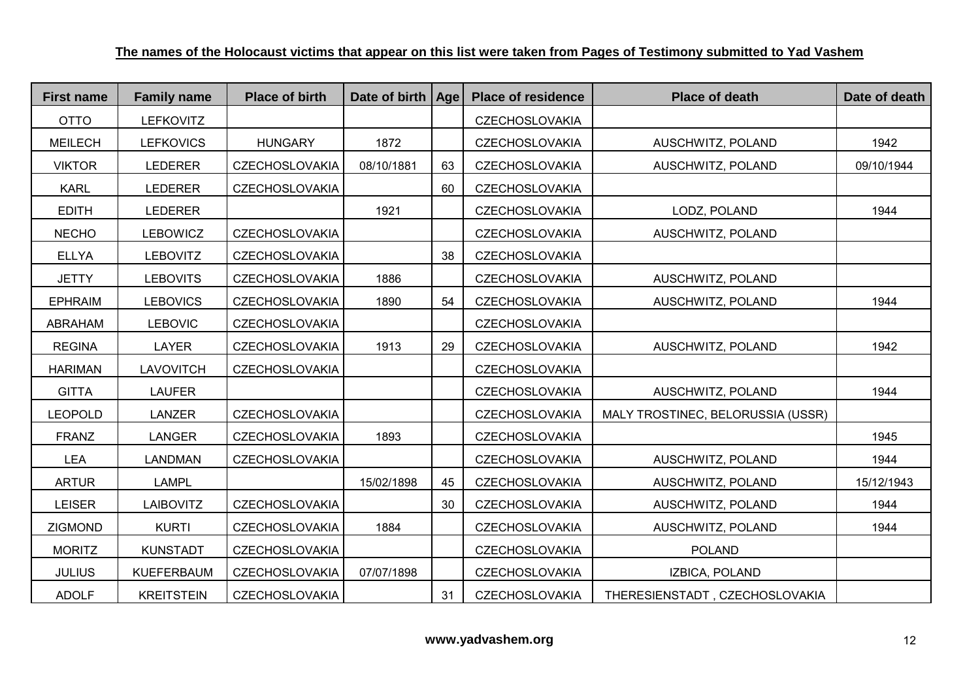| <b>First name</b> | <b>Family name</b> | <b>Place of birth</b> | Date of birth   Age |    | <b>Place of residence</b> | <b>Place of death</b>             | Date of death |
|-------------------|--------------------|-----------------------|---------------------|----|---------------------------|-----------------------------------|---------------|
| <b>OTTO</b>       | <b>LEFKOVITZ</b>   |                       |                     |    | <b>CZECHOSLOVAKIA</b>     |                                   |               |
| <b>MEILECH</b>    | <b>LEFKOVICS</b>   | <b>HUNGARY</b>        | 1872                |    | <b>CZECHOSLOVAKIA</b>     | AUSCHWITZ, POLAND                 | 1942          |
| <b>VIKTOR</b>     | <b>LEDERER</b>     | <b>CZECHOSLOVAKIA</b> | 08/10/1881          | 63 | <b>CZECHOSLOVAKIA</b>     | AUSCHWITZ, POLAND                 | 09/10/1944    |
| <b>KARL</b>       | <b>LEDERER</b>     | <b>CZECHOSLOVAKIA</b> |                     | 60 | <b>CZECHOSLOVAKIA</b>     |                                   |               |
| <b>EDITH</b>      | <b>LEDERER</b>     |                       | 1921                |    | <b>CZECHOSLOVAKIA</b>     | LODZ, POLAND                      | 1944          |
| <b>NECHO</b>      | <b>LEBOWICZ</b>    | <b>CZECHOSLOVAKIA</b> |                     |    | <b>CZECHOSLOVAKIA</b>     | AUSCHWITZ, POLAND                 |               |
| <b>ELLYA</b>      | <b>LEBOVITZ</b>    | <b>CZECHOSLOVAKIA</b> |                     | 38 | <b>CZECHOSLOVAKIA</b>     |                                   |               |
| <b>JETTY</b>      | <b>LEBOVITS</b>    | <b>CZECHOSLOVAKIA</b> | 1886                |    | <b>CZECHOSLOVAKIA</b>     | AUSCHWITZ, POLAND                 |               |
| <b>EPHRAIM</b>    | <b>LEBOVICS</b>    | <b>CZECHOSLOVAKIA</b> | 1890                | 54 | <b>CZECHOSLOVAKIA</b>     | AUSCHWITZ, POLAND                 | 1944          |
| ABRAHAM           | <b>LEBOVIC</b>     | <b>CZECHOSLOVAKIA</b> |                     |    | <b>CZECHOSLOVAKIA</b>     |                                   |               |
| <b>REGINA</b>     | <b>LAYER</b>       | <b>CZECHOSLOVAKIA</b> | 1913                | 29 | <b>CZECHOSLOVAKIA</b>     | AUSCHWITZ, POLAND                 | 1942          |
| <b>HARIMAN</b>    | <b>LAVOVITCH</b>   | <b>CZECHOSLOVAKIA</b> |                     |    | <b>CZECHOSLOVAKIA</b>     |                                   |               |
| <b>GITTA</b>      | <b>LAUFER</b>      |                       |                     |    | <b>CZECHOSLOVAKIA</b>     | AUSCHWITZ, POLAND                 | 1944          |
| <b>LEOPOLD</b>    | LANZER             | <b>CZECHOSLOVAKIA</b> |                     |    | <b>CZECHOSLOVAKIA</b>     | MALY TROSTINEC, BELORUSSIA (USSR) |               |
| <b>FRANZ</b>      | <b>LANGER</b>      | <b>CZECHOSLOVAKIA</b> | 1893                |    | <b>CZECHOSLOVAKIA</b>     |                                   | 1945          |
| <b>LEA</b>        | <b>LANDMAN</b>     | <b>CZECHOSLOVAKIA</b> |                     |    | <b>CZECHOSLOVAKIA</b>     | AUSCHWITZ, POLAND                 | 1944          |
| <b>ARTUR</b>      | <b>LAMPL</b>       |                       | 15/02/1898          | 45 | <b>CZECHOSLOVAKIA</b>     | AUSCHWITZ, POLAND                 | 15/12/1943    |
| <b>LEISER</b>     | <b>LAIBOVITZ</b>   | <b>CZECHOSLOVAKIA</b> |                     | 30 | <b>CZECHOSLOVAKIA</b>     | AUSCHWITZ, POLAND                 | 1944          |
| <b>ZIGMOND</b>    | <b>KURTI</b>       | <b>CZECHOSLOVAKIA</b> | 1884                |    | <b>CZECHOSLOVAKIA</b>     | AUSCHWITZ, POLAND                 | 1944          |
| <b>MORITZ</b>     | <b>KUNSTADT</b>    | <b>CZECHOSLOVAKIA</b> |                     |    | <b>CZECHOSLOVAKIA</b>     | <b>POLAND</b>                     |               |
| <b>JULIUS</b>     | <b>KUEFERBAUM</b>  | <b>CZECHOSLOVAKIA</b> | 07/07/1898          |    | <b>CZECHOSLOVAKIA</b>     | IZBICA, POLAND                    |               |
| <b>ADOLF</b>      | <b>KREITSTEIN</b>  | <b>CZECHOSLOVAKIA</b> |                     | 31 | <b>CZECHOSLOVAKIA</b>     | THERESIENSTADT, CZECHOSLOVAKIA    |               |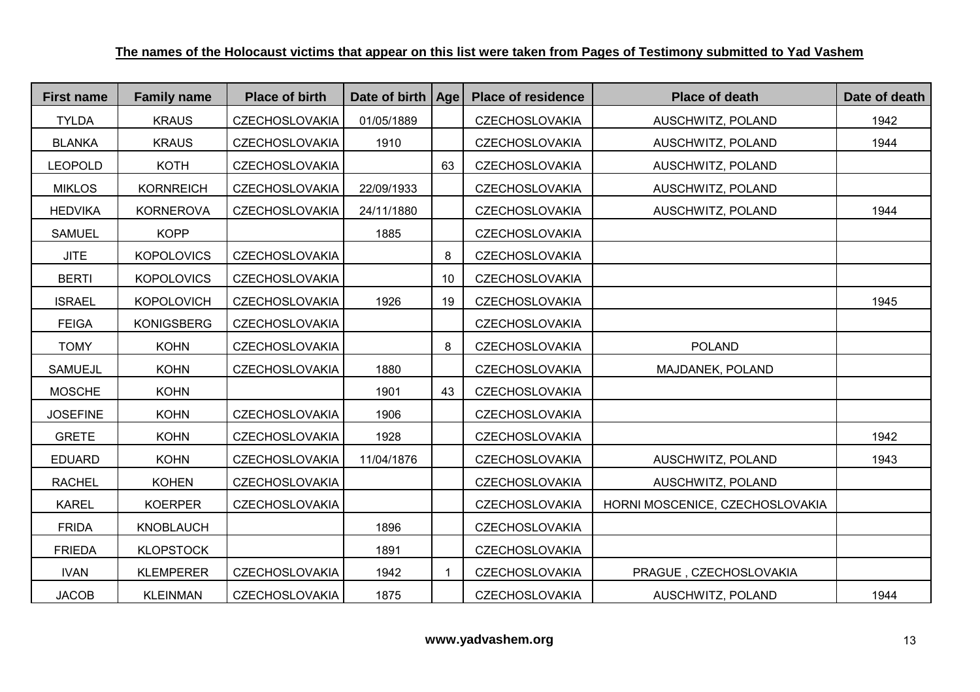| <b>First name</b> | <b>Family name</b> | <b>Place of birth</b> | Date of birth | <b>Age</b> | <b>Place of residence</b> | <b>Place of death</b>           | Date of death |
|-------------------|--------------------|-----------------------|---------------|------------|---------------------------|---------------------------------|---------------|
| <b>TYLDA</b>      | <b>KRAUS</b>       | <b>CZECHOSLOVAKIA</b> | 01/05/1889    |            | <b>CZECHOSLOVAKIA</b>     | AUSCHWITZ, POLAND               | 1942          |
| <b>BLANKA</b>     | <b>KRAUS</b>       | <b>CZECHOSLOVAKIA</b> | 1910          |            | <b>CZECHOSLOVAKIA</b>     | AUSCHWITZ, POLAND               | 1944          |
| <b>LEOPOLD</b>    | <b>KOTH</b>        | <b>CZECHOSLOVAKIA</b> |               | 63         | <b>CZECHOSLOVAKIA</b>     | AUSCHWITZ, POLAND               |               |
| <b>MIKLOS</b>     | <b>KORNREICH</b>   | <b>CZECHOSLOVAKIA</b> | 22/09/1933    |            | <b>CZECHOSLOVAKIA</b>     | AUSCHWITZ, POLAND               |               |
| <b>HEDVIKA</b>    | <b>KORNEROVA</b>   | <b>CZECHOSLOVAKIA</b> | 24/11/1880    |            | <b>CZECHOSLOVAKIA</b>     | AUSCHWITZ, POLAND               | 1944          |
| <b>SAMUEL</b>     | <b>KOPP</b>        |                       | 1885          |            | <b>CZECHOSLOVAKIA</b>     |                                 |               |
| <b>JITE</b>       | <b>KOPOLOVICS</b>  | <b>CZECHOSLOVAKIA</b> |               | 8          | <b>CZECHOSLOVAKIA</b>     |                                 |               |
| <b>BERTI</b>      | <b>KOPOLOVICS</b>  | <b>CZECHOSLOVAKIA</b> |               | 10         | CZECHOSLOVAKIA            |                                 |               |
| <b>ISRAEL</b>     | <b>KOPOLOVICH</b>  | <b>CZECHOSLOVAKIA</b> | 1926          | 19         | <b>CZECHOSLOVAKIA</b>     |                                 | 1945          |
| <b>FEIGA</b>      | <b>KONIGSBERG</b>  | <b>CZECHOSLOVAKIA</b> |               |            | <b>CZECHOSLOVAKIA</b>     |                                 |               |
| <b>TOMY</b>       | <b>KOHN</b>        | <b>CZECHOSLOVAKIA</b> |               | 8          | CZECHOSLOVAKIA            | <b>POLAND</b>                   |               |
| <b>SAMUEJL</b>    | <b>KOHN</b>        | <b>CZECHOSLOVAKIA</b> | 1880          |            | <b>CZECHOSLOVAKIA</b>     | MAJDANEK, POLAND                |               |
| <b>MOSCHE</b>     | <b>KOHN</b>        |                       | 1901          | 43         | <b>CZECHOSLOVAKIA</b>     |                                 |               |
| <b>JOSEFINE</b>   | <b>KOHN</b>        | <b>CZECHOSLOVAKIA</b> | 1906          |            | <b>CZECHOSLOVAKIA</b>     |                                 |               |
| <b>GRETE</b>      | <b>KOHN</b>        | <b>CZECHOSLOVAKIA</b> | 1928          |            | <b>CZECHOSLOVAKIA</b>     |                                 | 1942          |
| <b>EDUARD</b>     | <b>KOHN</b>        | CZECHOSLOVAKIA        | 11/04/1876    |            | <b>CZECHOSLOVAKIA</b>     | AUSCHWITZ, POLAND               | 1943          |
| <b>RACHEL</b>     | <b>KOHEN</b>       | <b>CZECHOSLOVAKIA</b> |               |            | <b>CZECHOSLOVAKIA</b>     | AUSCHWITZ, POLAND               |               |
| <b>KAREL</b>      | <b>KOERPER</b>     | <b>CZECHOSLOVAKIA</b> |               |            | <b>CZECHOSLOVAKIA</b>     | HORNI MOSCENICE, CZECHOSLOVAKIA |               |
| <b>FRIDA</b>      | KNOBLAUCH          |                       | 1896          |            | <b>CZECHOSLOVAKIA</b>     |                                 |               |
| <b>FRIEDA</b>     | <b>KLOPSTOCK</b>   |                       | 1891          |            | <b>CZECHOSLOVAKIA</b>     |                                 |               |
| <b>IVAN</b>       | <b>KLEMPERER</b>   | <b>CZECHOSLOVAKIA</b> | 1942          | -1         | <b>CZECHOSLOVAKIA</b>     | PRAGUE, CZECHOSLOVAKIA          |               |
| <b>JACOB</b>      | <b>KLEINMAN</b>    | <b>CZECHOSLOVAKIA</b> | 1875          |            | <b>CZECHOSLOVAKIA</b>     | AUSCHWITZ, POLAND               | 1944          |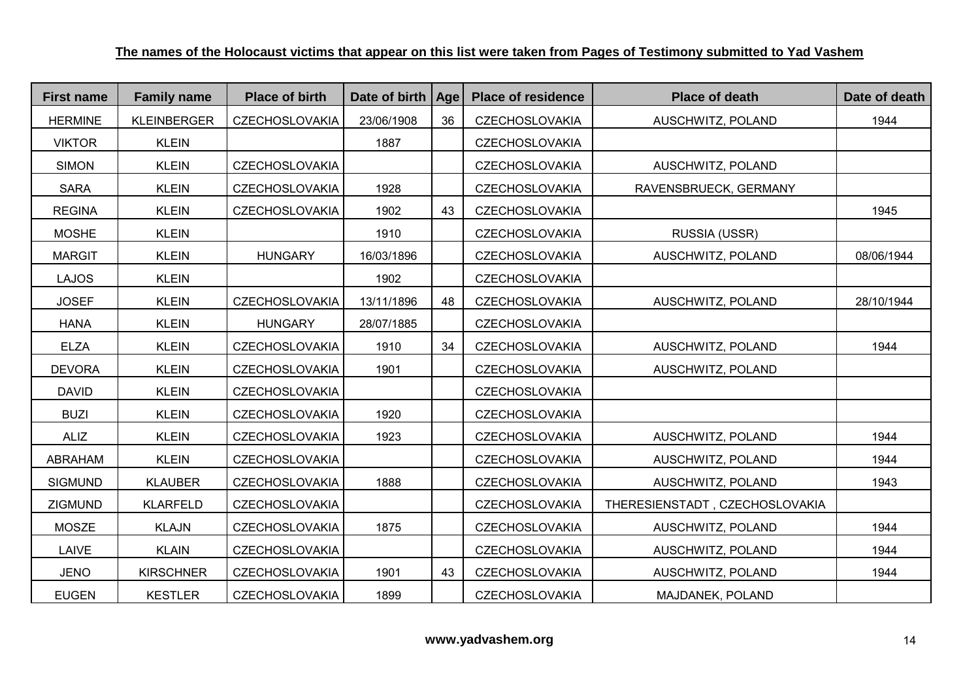| <b>First name</b> | <b>Family name</b> | <b>Place of birth</b> | Date of birth   Age |    | <b>Place of residence</b> | <b>Place of death</b>          | Date of death |
|-------------------|--------------------|-----------------------|---------------------|----|---------------------------|--------------------------------|---------------|
| <b>HERMINE</b>    | <b>KLEINBERGER</b> | <b>CZECHOSLOVAKIA</b> | 23/06/1908          | 36 | <b>CZECHOSLOVAKIA</b>     | AUSCHWITZ, POLAND              | 1944          |
| <b>VIKTOR</b>     | <b>KLEIN</b>       |                       | 1887                |    | <b>CZECHOSLOVAKIA</b>     |                                |               |
| <b>SIMON</b>      | <b>KLEIN</b>       | <b>CZECHOSLOVAKIA</b> |                     |    | <b>CZECHOSLOVAKIA</b>     | AUSCHWITZ, POLAND              |               |
| <b>SARA</b>       | <b>KLEIN</b>       | <b>CZECHOSLOVAKIA</b> | 1928                |    | <b>CZECHOSLOVAKIA</b>     | RAVENSBRUECK, GERMANY          |               |
| <b>REGINA</b>     | <b>KLEIN</b>       | <b>CZECHOSLOVAKIA</b> | 1902                | 43 | CZECHOSLOVAKIA            |                                | 1945          |
| <b>MOSHE</b>      | <b>KLEIN</b>       |                       | 1910                |    | <b>CZECHOSLOVAKIA</b>     | RUSSIA (USSR)                  |               |
| <b>MARGIT</b>     | <b>KLEIN</b>       | <b>HUNGARY</b>        | 16/03/1896          |    | <b>CZECHOSLOVAKIA</b>     | AUSCHWITZ, POLAND              | 08/06/1944    |
| <b>LAJOS</b>      | <b>KLEIN</b>       |                       | 1902                |    | CZECHOSLOVAKIA            |                                |               |
| <b>JOSEF</b>      | <b>KLEIN</b>       | <b>CZECHOSLOVAKIA</b> | 13/11/1896          | 48 | <b>CZECHOSLOVAKIA</b>     | AUSCHWITZ, POLAND              | 28/10/1944    |
| <b>HANA</b>       | <b>KLEIN</b>       | <b>HUNGARY</b>        | 28/07/1885          |    | CZECHOSLOVAKIA            |                                |               |
| <b>ELZA</b>       | <b>KLEIN</b>       | <b>CZECHOSLOVAKIA</b> | 1910                | 34 | <b>CZECHOSLOVAKIA</b>     | AUSCHWITZ, POLAND              | 1944          |
| <b>DEVORA</b>     | <b>KLEIN</b>       | <b>CZECHOSLOVAKIA</b> | 1901                |    | <b>CZECHOSLOVAKIA</b>     | AUSCHWITZ, POLAND              |               |
| <b>DAVID</b>      | <b>KLEIN</b>       | <b>CZECHOSLOVAKIA</b> |                     |    | <b>CZECHOSLOVAKIA</b>     |                                |               |
| <b>BUZI</b>       | <b>KLEIN</b>       | <b>CZECHOSLOVAKIA</b> | 1920                |    | <b>CZECHOSLOVAKIA</b>     |                                |               |
| <b>ALIZ</b>       | <b>KLEIN</b>       | <b>CZECHOSLOVAKIA</b> | 1923                |    | <b>CZECHOSLOVAKIA</b>     | AUSCHWITZ, POLAND              | 1944          |
| ABRAHAM           | <b>KLEIN</b>       | <b>CZECHOSLOVAKIA</b> |                     |    | <b>CZECHOSLOVAKIA</b>     | AUSCHWITZ, POLAND              | 1944          |
| <b>SIGMUND</b>    | <b>KLAUBER</b>     | <b>CZECHOSLOVAKIA</b> | 1888                |    | <b>CZECHOSLOVAKIA</b>     | AUSCHWITZ, POLAND              | 1943          |
| ZIGMUND           | <b>KLARFELD</b>    | <b>CZECHOSLOVAKIA</b> |                     |    | <b>CZECHOSLOVAKIA</b>     | THERESIENSTADT, CZECHOSLOVAKIA |               |
| <b>MOSZE</b>      | <b>KLAJN</b>       | <b>CZECHOSLOVAKIA</b> | 1875                |    | <b>CZECHOSLOVAKIA</b>     | AUSCHWITZ, POLAND              | 1944          |
| LAIVE             | <b>KLAIN</b>       | <b>CZECHOSLOVAKIA</b> |                     |    | <b>CZECHOSLOVAKIA</b>     | AUSCHWITZ, POLAND              | 1944          |
| <b>JENO</b>       | <b>KIRSCHNER</b>   | <b>CZECHOSLOVAKIA</b> | 1901                | 43 | <b>CZECHOSLOVAKIA</b>     | AUSCHWITZ, POLAND              | 1944          |
| <b>EUGEN</b>      | <b>KESTLER</b>     | <b>CZECHOSLOVAKIA</b> | 1899                |    | <b>CZECHOSLOVAKIA</b>     | MAJDANEK, POLAND               |               |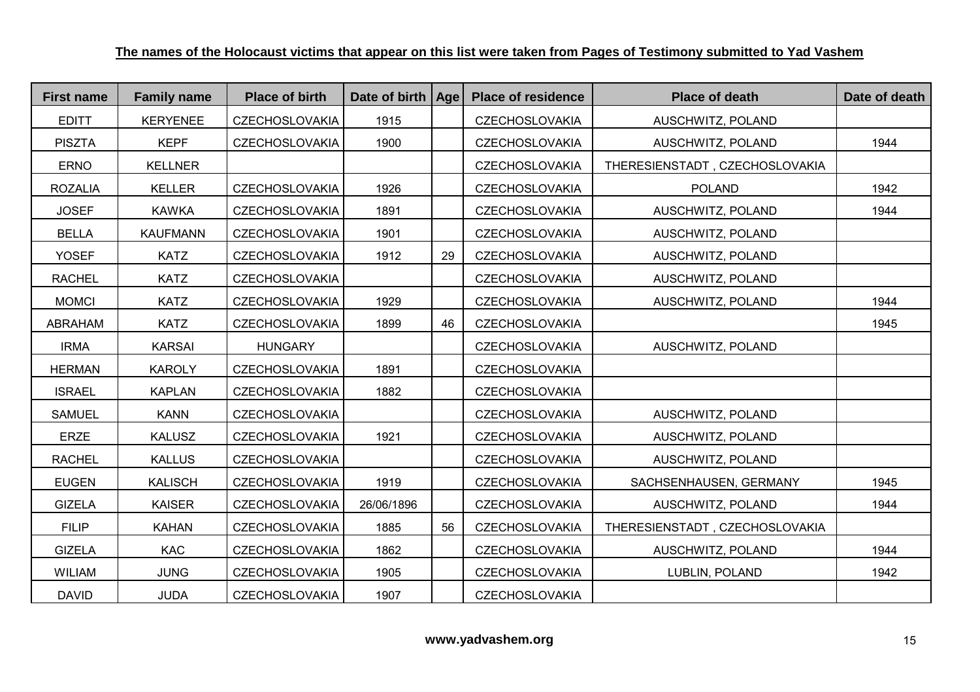| <b>First name</b> | <b>Family name</b> | <b>Place of birth</b> | Date of birth   Age |    | <b>Place of residence</b> | <b>Place of death</b>          | Date of death |
|-------------------|--------------------|-----------------------|---------------------|----|---------------------------|--------------------------------|---------------|
| <b>EDITT</b>      | <b>KERYENEE</b>    | <b>CZECHOSLOVAKIA</b> | 1915                |    | <b>CZECHOSLOVAKIA</b>     | AUSCHWITZ, POLAND              |               |
| <b>PISZTA</b>     | <b>KEPF</b>        | CZECHOSLOVAKIA        | 1900                |    | CZECHOSLOVAKIA            | AUSCHWITZ, POLAND              | 1944          |
| <b>ERNO</b>       | <b>KELLNER</b>     |                       |                     |    | CZECHOSLOVAKIA            | THERESIENSTADT, CZECHOSLOVAKIA |               |
| <b>ROZALIA</b>    | <b>KELLER</b>      | <b>CZECHOSLOVAKIA</b> | 1926                |    | <b>CZECHOSLOVAKIA</b>     | <b>POLAND</b>                  | 1942          |
| <b>JOSEF</b>      | <b>KAWKA</b>       | <b>CZECHOSLOVAKIA</b> | 1891                |    | <b>CZECHOSLOVAKIA</b>     | AUSCHWITZ, POLAND              | 1944          |
| <b>BELLA</b>      | <b>KAUFMANN</b>    | <b>CZECHOSLOVAKIA</b> | 1901                |    | <b>CZECHOSLOVAKIA</b>     | AUSCHWITZ, POLAND              |               |
| <b>YOSEF</b>      | <b>KATZ</b>        | <b>CZECHOSLOVAKIA</b> | 1912                | 29 | <b>CZECHOSLOVAKIA</b>     | AUSCHWITZ, POLAND              |               |
| <b>RACHEL</b>     | <b>KATZ</b>        | <b>CZECHOSLOVAKIA</b> |                     |    | <b>CZECHOSLOVAKIA</b>     | AUSCHWITZ, POLAND              |               |
| <b>MOMCI</b>      | <b>KATZ</b>        | <b>CZECHOSLOVAKIA</b> | 1929                |    | <b>CZECHOSLOVAKIA</b>     | AUSCHWITZ, POLAND              | 1944          |
| ABRAHAM           | <b>KATZ</b>        | <b>CZECHOSLOVAKIA</b> | 1899                | 46 | <b>CZECHOSLOVAKIA</b>     |                                | 1945          |
| <b>IRMA</b>       | <b>KARSAI</b>      | <b>HUNGARY</b>        |                     |    | CZECHOSLOVAKIA            | AUSCHWITZ, POLAND              |               |
| <b>HERMAN</b>     | <b>KAROLY</b>      | <b>CZECHOSLOVAKIA</b> | 1891                |    | <b>CZECHOSLOVAKIA</b>     |                                |               |
| <b>ISRAEL</b>     | <b>KAPLAN</b>      | <b>CZECHOSLOVAKIA</b> | 1882                |    | <b>CZECHOSLOVAKIA</b>     |                                |               |
| <b>SAMUEL</b>     | <b>KANN</b>        | <b>CZECHOSLOVAKIA</b> |                     |    | <b>CZECHOSLOVAKIA</b>     | AUSCHWITZ, POLAND              |               |
| ERZE              | <b>KALUSZ</b>      | <b>CZECHOSLOVAKIA</b> | 1921                |    | <b>CZECHOSLOVAKIA</b>     | AUSCHWITZ, POLAND              |               |
| <b>RACHEL</b>     | <b>KALLUS</b>      | <b>CZECHOSLOVAKIA</b> |                     |    | <b>CZECHOSLOVAKIA</b>     | AUSCHWITZ, POLAND              |               |
| <b>EUGEN</b>      | <b>KALISCH</b>     | <b>CZECHOSLOVAKIA</b> | 1919                |    | <b>CZECHOSLOVAKIA</b>     | SACHSENHAUSEN, GERMANY         | 1945          |
| <b>GIZELA</b>     | <b>KAISER</b>      | <b>CZECHOSLOVAKIA</b> | 26/06/1896          |    | <b>CZECHOSLOVAKIA</b>     | AUSCHWITZ, POLAND              | 1944          |
| <b>FILIP</b>      | <b>KAHAN</b>       | <b>CZECHOSLOVAKIA</b> | 1885                | 56 | <b>CZECHOSLOVAKIA</b>     | THERESIENSTADT, CZECHOSLOVAKIA |               |
| <b>GIZELA</b>     | <b>KAC</b>         | <b>CZECHOSLOVAKIA</b> | 1862                |    | <b>CZECHOSLOVAKIA</b>     | AUSCHWITZ, POLAND              | 1944          |
| <b>WILIAM</b>     | <b>JUNG</b>        | <b>CZECHOSLOVAKIA</b> | 1905                |    | <b>CZECHOSLOVAKIA</b>     | LUBLIN, POLAND                 | 1942          |
| <b>DAVID</b>      | <b>JUDA</b>        | <b>CZECHOSLOVAKIA</b> | 1907                |    | <b>CZECHOSLOVAKIA</b>     |                                |               |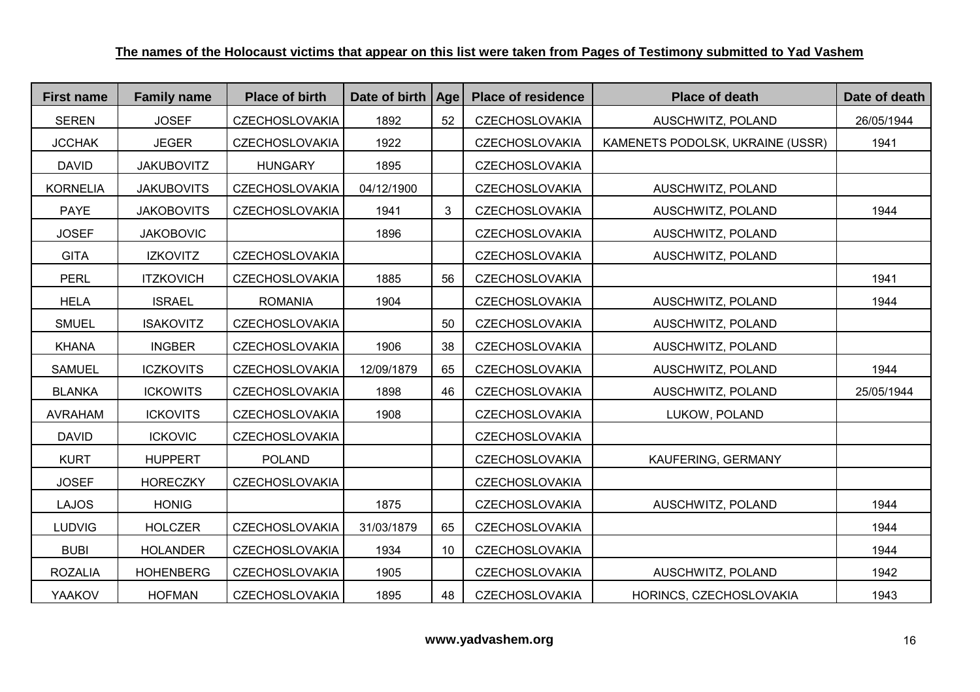| <b>First name</b> | <b>Family name</b> | <b>Place of birth</b> | Date of birth | <b>Age</b> | <b>Place of residence</b> | <b>Place of death</b>            | Date of death |
|-------------------|--------------------|-----------------------|---------------|------------|---------------------------|----------------------------------|---------------|
| <b>SEREN</b>      | <b>JOSEF</b>       | <b>CZECHOSLOVAKIA</b> | 1892          | 52         | <b>CZECHOSLOVAKIA</b>     | AUSCHWITZ, POLAND                | 26/05/1944    |
| <b>JCCHAK</b>     | <b>JEGER</b>       | <b>CZECHOSLOVAKIA</b> | 1922          |            | <b>CZECHOSLOVAKIA</b>     | KAMENETS PODOLSK, UKRAINE (USSR) | 1941          |
| <b>DAVID</b>      | <b>JAKUBOVITZ</b>  | <b>HUNGARY</b>        | 1895          |            | <b>CZECHOSLOVAKIA</b>     |                                  |               |
| <b>KORNELIA</b>   | <b>JAKUBOVITS</b>  | <b>CZECHOSLOVAKIA</b> | 04/12/1900    |            | <b>CZECHOSLOVAKIA</b>     | AUSCHWITZ, POLAND                |               |
| <b>PAYE</b>       | <b>JAKOBOVITS</b>  | <b>CZECHOSLOVAKIA</b> | 1941          | 3          | <b>CZECHOSLOVAKIA</b>     | AUSCHWITZ, POLAND                | 1944          |
| <b>JOSEF</b>      | <b>JAKOBOVIC</b>   |                       | 1896          |            | <b>CZECHOSLOVAKIA</b>     | AUSCHWITZ, POLAND                |               |
| <b>GITA</b>       | <b>IZKOVITZ</b>    | <b>CZECHOSLOVAKIA</b> |               |            | <b>CZECHOSLOVAKIA</b>     | AUSCHWITZ, POLAND                |               |
| <b>PERL</b>       | <b>ITZKOVICH</b>   | <b>CZECHOSLOVAKIA</b> | 1885          | 56         | <b>CZECHOSLOVAKIA</b>     |                                  | 1941          |
| <b>HELA</b>       | <b>ISRAEL</b>      | <b>ROMANIA</b>        | 1904          |            | <b>CZECHOSLOVAKIA</b>     | AUSCHWITZ, POLAND                | 1944          |
| <b>SMUEL</b>      | <b>ISAKOVITZ</b>   | <b>CZECHOSLOVAKIA</b> |               | 50         | <b>CZECHOSLOVAKIA</b>     | AUSCHWITZ, POLAND                |               |
| <b>KHANA</b>      | <b>INGBER</b>      | <b>CZECHOSLOVAKIA</b> | 1906          | 38         | <b>CZECHOSLOVAKIA</b>     | AUSCHWITZ, POLAND                |               |
| <b>SAMUEL</b>     | <b>ICZKOVITS</b>   | <b>CZECHOSLOVAKIA</b> | 12/09/1879    | 65         | <b>CZECHOSLOVAKIA</b>     | AUSCHWITZ, POLAND                | 1944          |
| <b>BLANKA</b>     | <b>ICKOWITS</b>    | <b>CZECHOSLOVAKIA</b> | 1898          | 46         | <b>CZECHOSLOVAKIA</b>     | AUSCHWITZ, POLAND                | 25/05/1944    |
| <b>AVRAHAM</b>    | <b>ICKOVITS</b>    | <b>CZECHOSLOVAKIA</b> | 1908          |            | <b>CZECHOSLOVAKIA</b>     | LUKOW, POLAND                    |               |
| <b>DAVID</b>      | <b>ICKOVIC</b>     | <b>CZECHOSLOVAKIA</b> |               |            | <b>CZECHOSLOVAKIA</b>     |                                  |               |
| <b>KURT</b>       | <b>HUPPERT</b>     | <b>POLAND</b>         |               |            | <b>CZECHOSLOVAKIA</b>     | KAUFERING, GERMANY               |               |
| <b>JOSEF</b>      | <b>HORECZKY</b>    | <b>CZECHOSLOVAKIA</b> |               |            | <b>CZECHOSLOVAKIA</b>     |                                  |               |
| <b>LAJOS</b>      | <b>HONIG</b>       |                       | 1875          |            | <b>CZECHOSLOVAKIA</b>     | AUSCHWITZ, POLAND                | 1944          |
| <b>LUDVIG</b>     | <b>HOLCZER</b>     | <b>CZECHOSLOVAKIA</b> | 31/03/1879    | 65         | <b>CZECHOSLOVAKIA</b>     |                                  | 1944          |
| <b>BUBI</b>       | <b>HOLANDER</b>    | <b>CZECHOSLOVAKIA</b> | 1934          | 10         | <b>CZECHOSLOVAKIA</b>     |                                  | 1944          |
| <b>ROZALIA</b>    | <b>HOHENBERG</b>   | <b>CZECHOSLOVAKIA</b> | 1905          |            | <b>CZECHOSLOVAKIA</b>     | AUSCHWITZ, POLAND                | 1942          |
| <b>YAAKOV</b>     | <b>HOFMAN</b>      | <b>CZECHOSLOVAKIA</b> | 1895          | 48         | <b>CZECHOSLOVAKIA</b>     | HORINCS, CZECHOSLOVAKIA          | 1943          |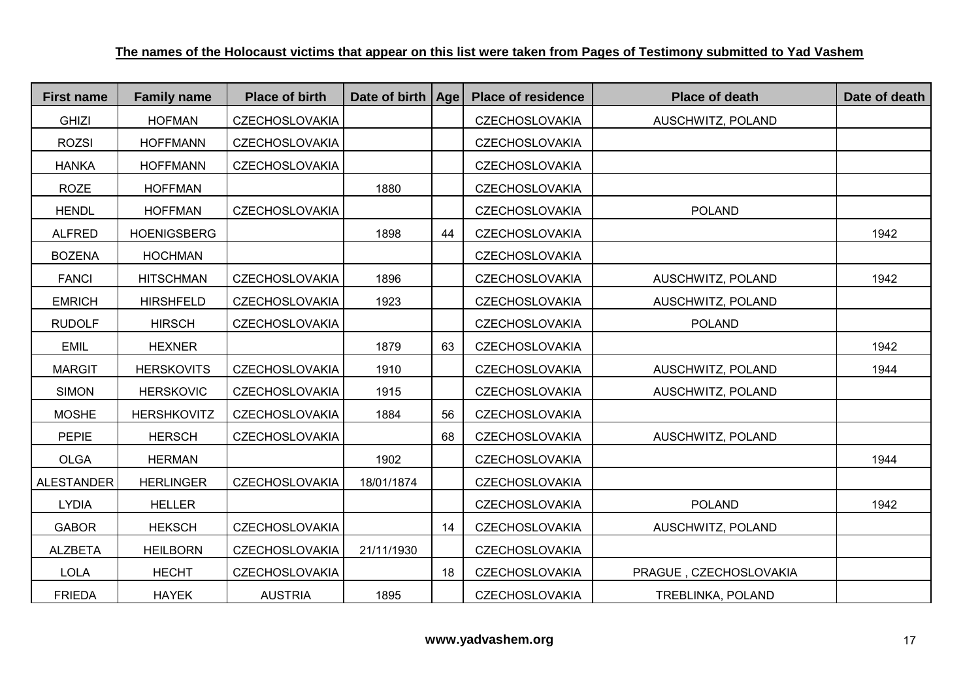| <b>First name</b> | <b>Family name</b> | <b>Place of birth</b> | Date of birth   Age |    | <b>Place of residence</b> | <b>Place of death</b>  | Date of death |
|-------------------|--------------------|-----------------------|---------------------|----|---------------------------|------------------------|---------------|
| <b>GHIZI</b>      | <b>HOFMAN</b>      | <b>CZECHOSLOVAKIA</b> |                     |    | <b>CZECHOSLOVAKIA</b>     | AUSCHWITZ, POLAND      |               |
| <b>ROZSI</b>      | <b>HOFFMANN</b>    | <b>CZECHOSLOVAKIA</b> |                     |    | <b>CZECHOSLOVAKIA</b>     |                        |               |
| <b>HANKA</b>      | <b>HOFFMANN</b>    | <b>CZECHOSLOVAKIA</b> |                     |    | <b>CZECHOSLOVAKIA</b>     |                        |               |
| <b>ROZE</b>       | <b>HOFFMAN</b>     |                       | 1880                |    | <b>CZECHOSLOVAKIA</b>     |                        |               |
| <b>HENDL</b>      | <b>HOFFMAN</b>     | <b>CZECHOSLOVAKIA</b> |                     |    | <b>CZECHOSLOVAKIA</b>     | <b>POLAND</b>          |               |
| <b>ALFRED</b>     | <b>HOENIGSBERG</b> |                       | 1898                | 44 | <b>CZECHOSLOVAKIA</b>     |                        | 1942          |
| <b>BOZENA</b>     | <b>HOCHMAN</b>     |                       |                     |    | <b>CZECHOSLOVAKIA</b>     |                        |               |
| <b>FANCI</b>      | <b>HITSCHMAN</b>   | <b>CZECHOSLOVAKIA</b> | 1896                |    | <b>CZECHOSLOVAKIA</b>     | AUSCHWITZ, POLAND      | 1942          |
| <b>EMRICH</b>     | <b>HIRSHFELD</b>   | <b>CZECHOSLOVAKIA</b> | 1923                |    | <b>CZECHOSLOVAKIA</b>     | AUSCHWITZ, POLAND      |               |
| <b>RUDOLF</b>     | <b>HIRSCH</b>      | <b>CZECHOSLOVAKIA</b> |                     |    | <b>CZECHOSLOVAKIA</b>     | <b>POLAND</b>          |               |
| <b>EMIL</b>       | <b>HEXNER</b>      |                       | 1879                | 63 | <b>CZECHOSLOVAKIA</b>     |                        | 1942          |
| <b>MARGIT</b>     | <b>HERSKOVITS</b>  | <b>CZECHOSLOVAKIA</b> | 1910                |    | <b>CZECHOSLOVAKIA</b>     | AUSCHWITZ, POLAND      | 1944          |
| <b>SIMON</b>      | <b>HERSKOVIC</b>   | <b>CZECHOSLOVAKIA</b> | 1915                |    | <b>CZECHOSLOVAKIA</b>     | AUSCHWITZ, POLAND      |               |
| <b>MOSHE</b>      | <b>HERSHKOVITZ</b> | <b>CZECHOSLOVAKIA</b> | 1884                | 56 | <b>CZECHOSLOVAKIA</b>     |                        |               |
| <b>PEPIE</b>      | <b>HERSCH</b>      | <b>CZECHOSLOVAKIA</b> |                     | 68 | <b>CZECHOSLOVAKIA</b>     | AUSCHWITZ, POLAND      |               |
| <b>OLGA</b>       | <b>HERMAN</b>      |                       | 1902                |    | <b>CZECHOSLOVAKIA</b>     |                        | 1944          |
| <b>ALESTANDER</b> | <b>HERLINGER</b>   | <b>CZECHOSLOVAKIA</b> | 18/01/1874          |    | <b>CZECHOSLOVAKIA</b>     |                        |               |
| <b>LYDIA</b>      | <b>HELLER</b>      |                       |                     |    | <b>CZECHOSLOVAKIA</b>     | <b>POLAND</b>          | 1942          |
| <b>GABOR</b>      | <b>HEKSCH</b>      | <b>CZECHOSLOVAKIA</b> |                     | 14 | <b>CZECHOSLOVAKIA</b>     | AUSCHWITZ, POLAND      |               |
| <b>ALZBETA</b>    | <b>HEILBORN</b>    | <b>CZECHOSLOVAKIA</b> | 21/11/1930          |    | <b>CZECHOSLOVAKIA</b>     |                        |               |
| <b>LOLA</b>       | <b>HECHT</b>       | <b>CZECHOSLOVAKIA</b> |                     | 18 | <b>CZECHOSLOVAKIA</b>     | PRAGUE, CZECHOSLOVAKIA |               |
| <b>FRIEDA</b>     | <b>HAYEK</b>       | <b>AUSTRIA</b>        | 1895                |    | <b>CZECHOSLOVAKIA</b>     | TREBLINKA, POLAND      |               |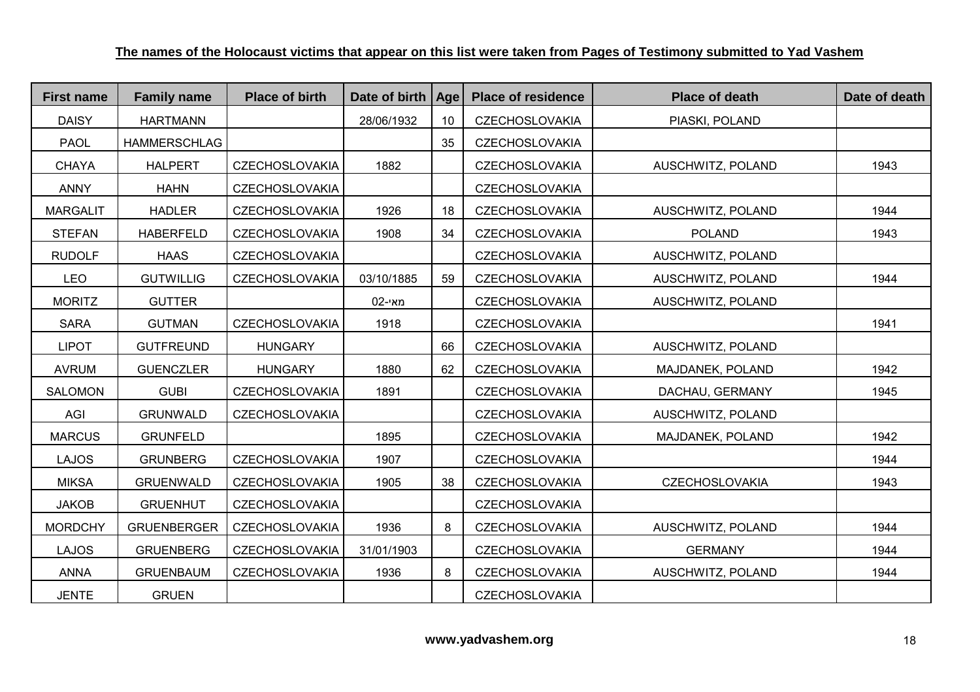| <b>First name</b> | <b>Family name</b>  | <b>Place of birth</b> | Date of birth | Age | <b>Place of residence</b> | <b>Place of death</b> | Date of death |
|-------------------|---------------------|-----------------------|---------------|-----|---------------------------|-----------------------|---------------|
| <b>DAISY</b>      | <b>HARTMANN</b>     |                       | 28/06/1932    | 10  | <b>CZECHOSLOVAKIA</b>     | PIASKI, POLAND        |               |
| <b>PAOL</b>       | <b>HAMMERSCHLAG</b> |                       |               | 35  | <b>CZECHOSLOVAKIA</b>     |                       |               |
| <b>CHAYA</b>      | <b>HALPERT</b>      | CZECHOSLOVAKIA        | 1882          |     | <b>CZECHOSLOVAKIA</b>     | AUSCHWITZ, POLAND     | 1943          |
| <b>ANNY</b>       | <b>HAHN</b>         | <b>CZECHOSLOVAKIA</b> |               |     | <b>CZECHOSLOVAKIA</b>     |                       |               |
| <b>MARGALIT</b>   | <b>HADLER</b>       | <b>CZECHOSLOVAKIA</b> | 1926          | 18  | <b>CZECHOSLOVAKIA</b>     | AUSCHWITZ, POLAND     | 1944          |
| <b>STEFAN</b>     | <b>HABERFELD</b>    | <b>CZECHOSLOVAKIA</b> | 1908          | 34  | <b>CZECHOSLOVAKIA</b>     | <b>POLAND</b>         | 1943          |
| <b>RUDOLF</b>     | <b>HAAS</b>         | <b>CZECHOSLOVAKIA</b> |               |     | <b>CZECHOSLOVAKIA</b>     | AUSCHWITZ, POLAND     |               |
| <b>LEO</b>        | <b>GUTWILLIG</b>    | <b>CZECHOSLOVAKIA</b> | 03/10/1885    | 59  | <b>CZECHOSLOVAKIA</b>     | AUSCHWITZ, POLAND     | 1944          |
| <b>MORITZ</b>     | <b>GUTTER</b>       |                       | 02-מאי        |     | <b>CZECHOSLOVAKIA</b>     | AUSCHWITZ, POLAND     |               |
| <b>SARA</b>       | <b>GUTMAN</b>       | <b>CZECHOSLOVAKIA</b> | 1918          |     | <b>CZECHOSLOVAKIA</b>     |                       | 1941          |
| <b>LIPOT</b>      | <b>GUTFREUND</b>    | <b>HUNGARY</b>        |               | 66  | <b>CZECHOSLOVAKIA</b>     | AUSCHWITZ, POLAND     |               |
| <b>AVRUM</b>      | <b>GUENCZLER</b>    | <b>HUNGARY</b>        | 1880          | 62  | <b>CZECHOSLOVAKIA</b>     | MAJDANEK, POLAND      | 1942          |
| <b>SALOMON</b>    | <b>GUBI</b>         | <b>CZECHOSLOVAKIA</b> | 1891          |     | <b>CZECHOSLOVAKIA</b>     | DACHAU, GERMANY       | 1945          |
| AGI               | <b>GRUNWALD</b>     | <b>CZECHOSLOVAKIA</b> |               |     | <b>CZECHOSLOVAKIA</b>     | AUSCHWITZ, POLAND     |               |
| <b>MARCUS</b>     | <b>GRUNFELD</b>     |                       | 1895          |     | <b>CZECHOSLOVAKIA</b>     | MAJDANEK, POLAND      | 1942          |
| <b>LAJOS</b>      | <b>GRUNBERG</b>     | <b>CZECHOSLOVAKIA</b> | 1907          |     | <b>CZECHOSLOVAKIA</b>     |                       | 1944          |
| <b>MIKSA</b>      | <b>GRUENWALD</b>    | <b>CZECHOSLOVAKIA</b> | 1905          | 38  | <b>CZECHOSLOVAKIA</b>     | <b>CZECHOSLOVAKIA</b> | 1943          |
| <b>JAKOB</b>      | <b>GRUENHUT</b>     | <b>CZECHOSLOVAKIA</b> |               |     | <b>CZECHOSLOVAKIA</b>     |                       |               |
| <b>MORDCHY</b>    | <b>GRUENBERGER</b>  | <b>CZECHOSLOVAKIA</b> | 1936          | 8   | <b>CZECHOSLOVAKIA</b>     | AUSCHWITZ, POLAND     | 1944          |
| <b>LAJOS</b>      | <b>GRUENBERG</b>    | <b>CZECHOSLOVAKIA</b> | 31/01/1903    |     | <b>CZECHOSLOVAKIA</b>     | <b>GERMANY</b>        | 1944          |
| <b>ANNA</b>       | <b>GRUENBAUM</b>    | <b>CZECHOSLOVAKIA</b> | 1936          | 8   | <b>CZECHOSLOVAKIA</b>     | AUSCHWITZ, POLAND     | 1944          |
| <b>JENTE</b>      | <b>GRUEN</b>        |                       |               |     | <b>CZECHOSLOVAKIA</b>     |                       |               |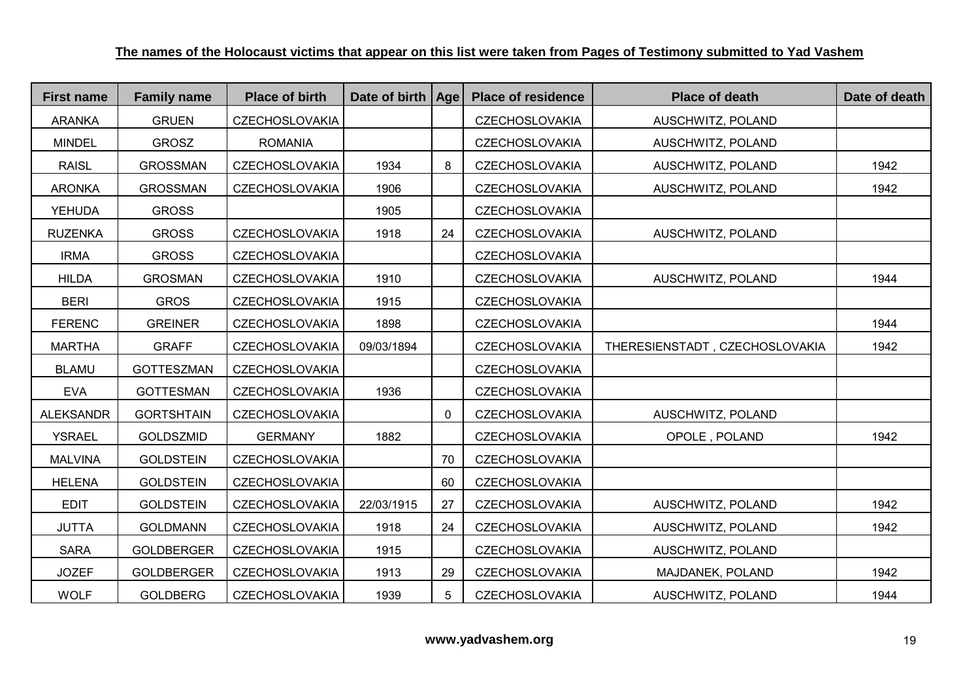| <b>First name</b> | <b>Family name</b> | <b>Place of birth</b> | Date of birth   Age |              | <b>Place of residence</b> | <b>Place of death</b>          | Date of death |
|-------------------|--------------------|-----------------------|---------------------|--------------|---------------------------|--------------------------------|---------------|
| <b>ARANKA</b>     | <b>GRUEN</b>       | <b>CZECHOSLOVAKIA</b> |                     |              | <b>CZECHOSLOVAKIA</b>     | AUSCHWITZ, POLAND              |               |
| <b>MINDEL</b>     | <b>GROSZ</b>       | <b>ROMANIA</b>        |                     |              | <b>CZECHOSLOVAKIA</b>     | AUSCHWITZ, POLAND              |               |
| <b>RAISL</b>      | <b>GROSSMAN</b>    | <b>CZECHOSLOVAKIA</b> | 1934                | 8            | <b>CZECHOSLOVAKIA</b>     | AUSCHWITZ, POLAND              | 1942          |
| <b>ARONKA</b>     | <b>GROSSMAN</b>    | <b>CZECHOSLOVAKIA</b> | 1906                |              | <b>CZECHOSLOVAKIA</b>     | AUSCHWITZ, POLAND              | 1942          |
| <b>YEHUDA</b>     | <b>GROSS</b>       |                       | 1905                |              | <b>CZECHOSLOVAKIA</b>     |                                |               |
| <b>RUZENKA</b>    | <b>GROSS</b>       | <b>CZECHOSLOVAKIA</b> | 1918                | 24           | <b>CZECHOSLOVAKIA</b>     | AUSCHWITZ, POLAND              |               |
| <b>IRMA</b>       | <b>GROSS</b>       | <b>CZECHOSLOVAKIA</b> |                     |              | <b>CZECHOSLOVAKIA</b>     |                                |               |
| <b>HILDA</b>      | <b>GROSMAN</b>     | <b>CZECHOSLOVAKIA</b> | 1910                |              | <b>CZECHOSLOVAKIA</b>     | AUSCHWITZ, POLAND              | 1944          |
| <b>BERI</b>       | <b>GROS</b>        | <b>CZECHOSLOVAKIA</b> | 1915                |              | <b>CZECHOSLOVAKIA</b>     |                                |               |
| <b>FERENC</b>     | <b>GREINER</b>     | <b>CZECHOSLOVAKIA</b> | 1898                |              | <b>CZECHOSLOVAKIA</b>     |                                | 1944          |
| <b>MARTHA</b>     | <b>GRAFF</b>       | <b>CZECHOSLOVAKIA</b> | 09/03/1894          |              | <b>CZECHOSLOVAKIA</b>     | THERESIENSTADT, CZECHOSLOVAKIA | 1942          |
| <b>BLAMU</b>      | <b>GOTTESZMAN</b>  | <b>CZECHOSLOVAKIA</b> |                     |              | <b>CZECHOSLOVAKIA</b>     |                                |               |
| <b>EVA</b>        | <b>GOTTESMAN</b>   | <b>CZECHOSLOVAKIA</b> | 1936                |              | <b>CZECHOSLOVAKIA</b>     |                                |               |
| <b>ALEKSANDR</b>  | <b>GORTSHTAIN</b>  | <b>CZECHOSLOVAKIA</b> |                     | $\mathbf{0}$ | <b>CZECHOSLOVAKIA</b>     | AUSCHWITZ, POLAND              |               |
| <b>YSRAEL</b>     | <b>GOLDSZMID</b>   | <b>GERMANY</b>        | 1882                |              | <b>CZECHOSLOVAKIA</b>     | OPOLE, POLAND                  | 1942          |
| <b>MALVINA</b>    | <b>GOLDSTEIN</b>   | <b>CZECHOSLOVAKIA</b> |                     | 70           | <b>CZECHOSLOVAKIA</b>     |                                |               |
| <b>HELENA</b>     | <b>GOLDSTEIN</b>   | <b>CZECHOSLOVAKIA</b> |                     | 60           | <b>CZECHOSLOVAKIA</b>     |                                |               |
| <b>EDIT</b>       | <b>GOLDSTEIN</b>   | <b>CZECHOSLOVAKIA</b> | 22/03/1915          | 27           | <b>CZECHOSLOVAKIA</b>     | AUSCHWITZ, POLAND              | 1942          |
| <b>JUTTA</b>      | <b>GOLDMANN</b>    | <b>CZECHOSLOVAKIA</b> | 1918                | 24           | <b>CZECHOSLOVAKIA</b>     | AUSCHWITZ, POLAND              | 1942          |
| <b>SARA</b>       | <b>GOLDBERGER</b>  | <b>CZECHOSLOVAKIA</b> | 1915                |              | <b>CZECHOSLOVAKIA</b>     | AUSCHWITZ, POLAND              |               |
| <b>JOZEF</b>      | <b>GOLDBERGER</b>  | <b>CZECHOSLOVAKIA</b> | 1913                | 29           | <b>CZECHOSLOVAKIA</b>     | MAJDANEK, POLAND               | 1942          |
| <b>WOLF</b>       | <b>GOLDBERG</b>    | <b>CZECHOSLOVAKIA</b> | 1939                | 5            | <b>CZECHOSLOVAKIA</b>     | AUSCHWITZ, POLAND              | 1944          |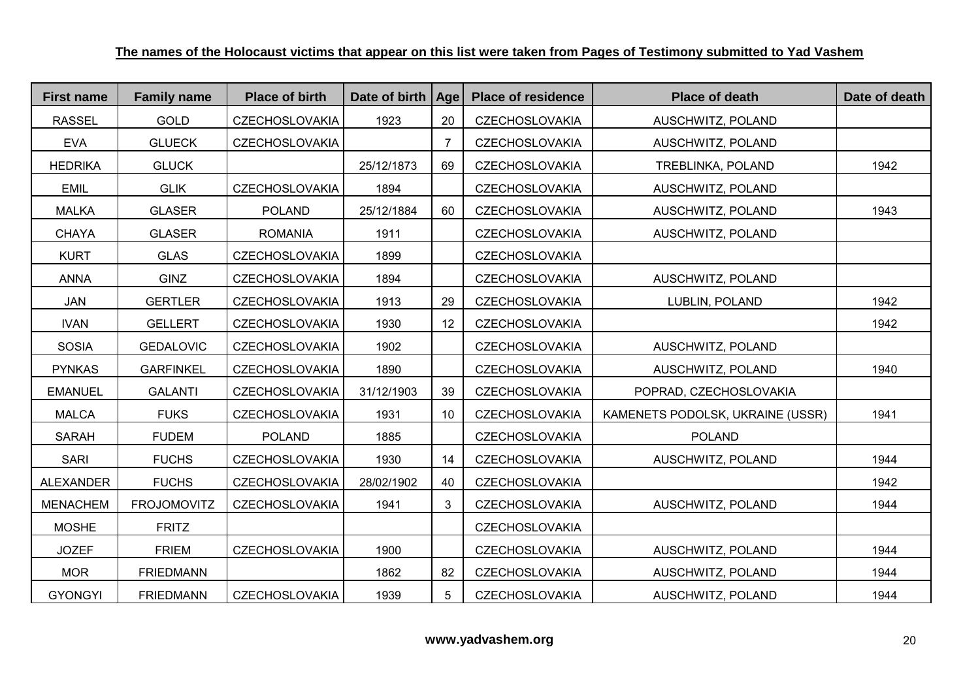| <b>First name</b> | <b>Family name</b> | <b>Place of birth</b> | Date of birth   Age |    | <b>Place of residence</b> | <b>Place of death</b>            | Date of death |
|-------------------|--------------------|-----------------------|---------------------|----|---------------------------|----------------------------------|---------------|
| <b>RASSEL</b>     | <b>GOLD</b>        | <b>CZECHOSLOVAKIA</b> | 1923                | 20 | <b>CZECHOSLOVAKIA</b>     | AUSCHWITZ, POLAND                |               |
| <b>EVA</b>        | <b>GLUECK</b>      | CZECHOSLOVAKIA        |                     | 7  | <b>CZECHOSLOVAKIA</b>     | AUSCHWITZ, POLAND                |               |
| <b>HEDRIKA</b>    | <b>GLUCK</b>       |                       | 25/12/1873          | 69 | <b>CZECHOSLOVAKIA</b>     | TREBLINKA, POLAND                | 1942          |
| <b>EMIL</b>       | <b>GLIK</b>        | <b>CZECHOSLOVAKIA</b> | 1894                |    | <b>CZECHOSLOVAKIA</b>     | AUSCHWITZ, POLAND                |               |
| <b>MALKA</b>      | <b>GLASER</b>      | <b>POLAND</b>         | 25/12/1884          | 60 | <b>CZECHOSLOVAKIA</b>     | AUSCHWITZ, POLAND                | 1943          |
| <b>CHAYA</b>      | <b>GLASER</b>      | <b>ROMANIA</b>        | 1911                |    | <b>CZECHOSLOVAKIA</b>     | AUSCHWITZ, POLAND                |               |
| <b>KURT</b>       | <b>GLAS</b>        | <b>CZECHOSLOVAKIA</b> | 1899                |    | <b>CZECHOSLOVAKIA</b>     |                                  |               |
| <b>ANNA</b>       | <b>GINZ</b>        | <b>CZECHOSLOVAKIA</b> | 1894                |    | <b>CZECHOSLOVAKIA</b>     | AUSCHWITZ, POLAND                |               |
| <b>JAN</b>        | <b>GERTLER</b>     | <b>CZECHOSLOVAKIA</b> | 1913                | 29 | <b>CZECHOSLOVAKIA</b>     | LUBLIN, POLAND                   | 1942          |
| <b>IVAN</b>       | <b>GELLERT</b>     | <b>CZECHOSLOVAKIA</b> | 1930                | 12 | <b>CZECHOSLOVAKIA</b>     |                                  | 1942          |
| <b>SOSIA</b>      | <b>GEDALOVIC</b>   | <b>CZECHOSLOVAKIA</b> | 1902                |    | <b>CZECHOSLOVAKIA</b>     | AUSCHWITZ, POLAND                |               |
| <b>PYNKAS</b>     | <b>GARFINKEL</b>   | <b>CZECHOSLOVAKIA</b> | 1890                |    | <b>CZECHOSLOVAKIA</b>     | AUSCHWITZ, POLAND                | 1940          |
| <b>EMANUEL</b>    | <b>GALANTI</b>     | <b>CZECHOSLOVAKIA</b> | 31/12/1903          | 39 | <b>CZECHOSLOVAKIA</b>     | POPRAD, CZECHOSLOVAKIA           |               |
| <b>MALCA</b>      | <b>FUKS</b>        | <b>CZECHOSLOVAKIA</b> | 1931                | 10 | <b>CZECHOSLOVAKIA</b>     | KAMENETS PODOLSK, UKRAINE (USSR) | 1941          |
| <b>SARAH</b>      | <b>FUDEM</b>       | <b>POLAND</b>         | 1885                |    | <b>CZECHOSLOVAKIA</b>     | <b>POLAND</b>                    |               |
| <b>SARI</b>       | <b>FUCHS</b>       | <b>CZECHOSLOVAKIA</b> | 1930                | 14 | <b>CZECHOSLOVAKIA</b>     | AUSCHWITZ, POLAND                | 1944          |
| ALEXANDER         | <b>FUCHS</b>       | <b>CZECHOSLOVAKIA</b> | 28/02/1902          | 40 | <b>CZECHOSLOVAKIA</b>     |                                  | 1942          |
| <b>MENACHEM</b>   | <b>FROJOMOVITZ</b> | <b>CZECHOSLOVAKIA</b> | 1941                | 3  | <b>CZECHOSLOVAKIA</b>     | AUSCHWITZ, POLAND                | 1944          |
| <b>MOSHE</b>      | <b>FRITZ</b>       |                       |                     |    | <b>CZECHOSLOVAKIA</b>     |                                  |               |
| <b>JOZEF</b>      | <b>FRIEM</b>       | <b>CZECHOSLOVAKIA</b> | 1900                |    | <b>CZECHOSLOVAKIA</b>     | AUSCHWITZ, POLAND                | 1944          |
| <b>MOR</b>        | <b>FRIEDMANN</b>   |                       | 1862                | 82 | <b>CZECHOSLOVAKIA</b>     | AUSCHWITZ, POLAND                | 1944          |
| <b>GYONGYI</b>    | <b>FRIEDMANN</b>   | <b>CZECHOSLOVAKIA</b> | 1939                | 5  | <b>CZECHOSLOVAKIA</b>     | AUSCHWITZ, POLAND                | 1944          |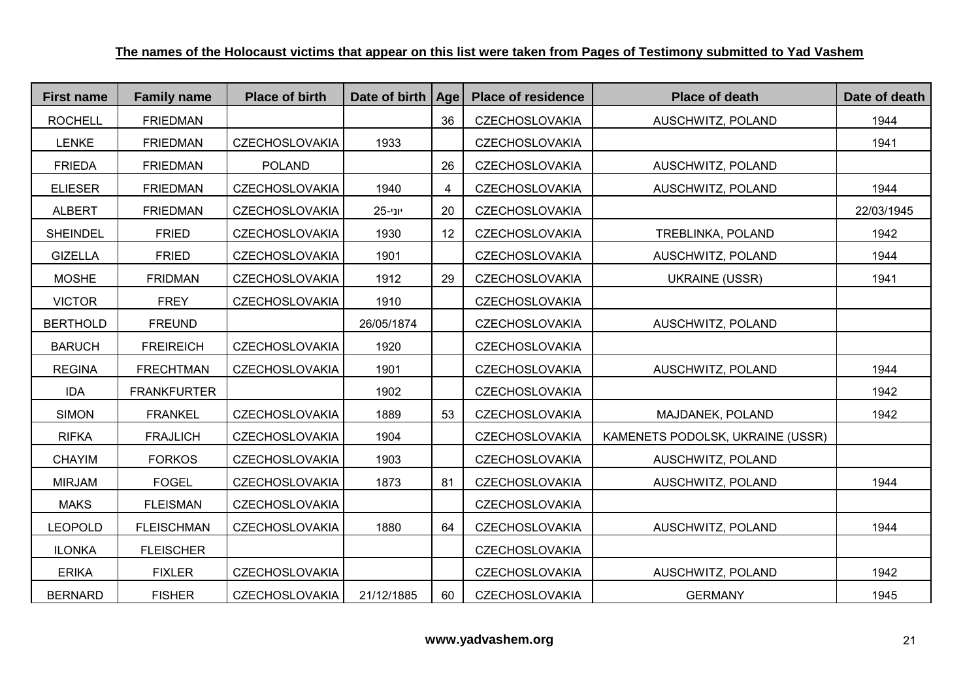| <b>First name</b> | <b>Family name</b> | <b>Place of birth</b> | Date of birth | Age | <b>Place of residence</b> | <b>Place of death</b>            | Date of death |
|-------------------|--------------------|-----------------------|---------------|-----|---------------------------|----------------------------------|---------------|
| <b>ROCHELL</b>    | <b>FRIEDMAN</b>    |                       |               | 36  | <b>CZECHOSLOVAKIA</b>     | AUSCHWITZ, POLAND                | 1944          |
| <b>LENKE</b>      | <b>FRIEDMAN</b>    | <b>CZECHOSLOVAKIA</b> | 1933          |     | <b>CZECHOSLOVAKIA</b>     |                                  | 1941          |
| <b>FRIEDA</b>     | <b>FRIEDMAN</b>    | <b>POLAND</b>         |               | 26  | <b>CZECHOSLOVAKIA</b>     | AUSCHWITZ, POLAND                |               |
| <b>ELIESER</b>    | <b>FRIEDMAN</b>    | <b>CZECHOSLOVAKIA</b> | 1940          | 4   | <b>CZECHOSLOVAKIA</b>     | AUSCHWITZ, POLAND                | 1944          |
| <b>ALBERT</b>     | <b>FRIEDMAN</b>    | <b>CZECHOSLOVAKIA</b> | 25-יוני       | 20  | <b>CZECHOSLOVAKIA</b>     |                                  | 22/03/1945    |
| <b>SHEINDEL</b>   | <b>FRIED</b>       | <b>CZECHOSLOVAKIA</b> | 1930          | 12  | <b>CZECHOSLOVAKIA</b>     | TREBLINKA, POLAND                | 1942          |
| <b>GIZELLA</b>    | <b>FRIED</b>       | <b>CZECHOSLOVAKIA</b> | 1901          |     | <b>CZECHOSLOVAKIA</b>     | AUSCHWITZ, POLAND                | 1944          |
| <b>MOSHE</b>      | <b>FRIDMAN</b>     | <b>CZECHOSLOVAKIA</b> | 1912          | 29  | <b>CZECHOSLOVAKIA</b>     | <b>UKRAINE (USSR)</b>            | 1941          |
| <b>VICTOR</b>     | <b>FREY</b>        | <b>CZECHOSLOVAKIA</b> | 1910          |     | <b>CZECHOSLOVAKIA</b>     |                                  |               |
| <b>BERTHOLD</b>   | <b>FREUND</b>      |                       | 26/05/1874    |     | <b>CZECHOSLOVAKIA</b>     | AUSCHWITZ, POLAND                |               |
| <b>BARUCH</b>     | <b>FREIREICH</b>   | <b>CZECHOSLOVAKIA</b> | 1920          |     | <b>CZECHOSLOVAKIA</b>     |                                  |               |
| <b>REGINA</b>     | <b>FRECHTMAN</b>   | <b>CZECHOSLOVAKIA</b> | 1901          |     | <b>CZECHOSLOVAKIA</b>     | AUSCHWITZ, POLAND                | 1944          |
| <b>IDA</b>        | <b>FRANKFURTER</b> |                       | 1902          |     | <b>CZECHOSLOVAKIA</b>     |                                  | 1942          |
| <b>SIMON</b>      | <b>FRANKEL</b>     | <b>CZECHOSLOVAKIA</b> | 1889          | 53  | <b>CZECHOSLOVAKIA</b>     | MAJDANEK, POLAND                 | 1942          |
| <b>RIFKA</b>      | <b>FRAJLICH</b>    | <b>CZECHOSLOVAKIA</b> | 1904          |     | <b>CZECHOSLOVAKIA</b>     | KAMENETS PODOLSK, UKRAINE (USSR) |               |
| <b>CHAYIM</b>     | <b>FORKOS</b>      | <b>CZECHOSLOVAKIA</b> | 1903          |     | <b>CZECHOSLOVAKIA</b>     | AUSCHWITZ, POLAND                |               |
| <b>MIRJAM</b>     | <b>FOGEL</b>       | <b>CZECHOSLOVAKIA</b> | 1873          | 81  | <b>CZECHOSLOVAKIA</b>     | AUSCHWITZ, POLAND                | 1944          |
| <b>MAKS</b>       | <b>FLEISMAN</b>    | <b>CZECHOSLOVAKIA</b> |               |     | <b>CZECHOSLOVAKIA</b>     |                                  |               |
| <b>LEOPOLD</b>    | <b>FLEISCHMAN</b>  | <b>CZECHOSLOVAKIA</b> | 1880          | 64  | <b>CZECHOSLOVAKIA</b>     | AUSCHWITZ, POLAND                | 1944          |
| <b>ILONKA</b>     | <b>FLEISCHER</b>   |                       |               |     | <b>CZECHOSLOVAKIA</b>     |                                  |               |
| <b>ERIKA</b>      | <b>FIXLER</b>      | <b>CZECHOSLOVAKIA</b> |               |     | <b>CZECHOSLOVAKIA</b>     | AUSCHWITZ, POLAND                | 1942          |
| <b>BERNARD</b>    | <b>FISHER</b>      | <b>CZECHOSLOVAKIA</b> | 21/12/1885    | 60  | <b>CZECHOSLOVAKIA</b>     | <b>GERMANY</b>                   | 1945          |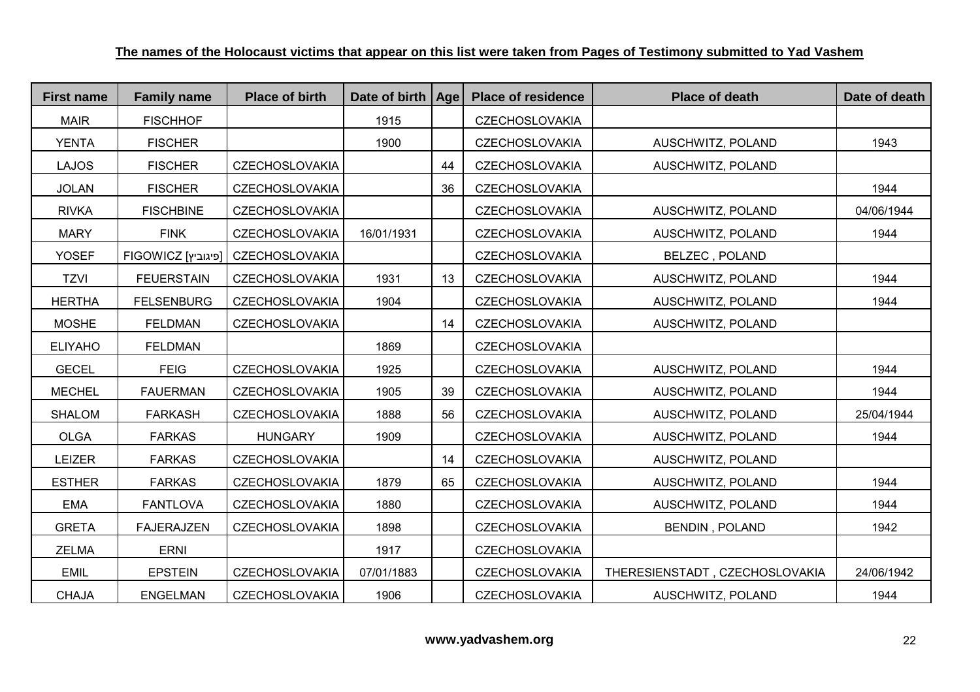| <b>First name</b> | <b>Family name</b> | <b>Place of birth</b>             | Date of birth   Age |    | <b>Place of residence</b> | <b>Place of death</b>          | Date of death |
|-------------------|--------------------|-----------------------------------|---------------------|----|---------------------------|--------------------------------|---------------|
| <b>MAIR</b>       | <b>FISCHHOF</b>    |                                   | 1915                |    | <b>CZECHOSLOVAKIA</b>     |                                |               |
| <b>YENTA</b>      | <b>FISCHER</b>     |                                   | 1900                |    | <b>CZECHOSLOVAKIA</b>     | AUSCHWITZ, POLAND              | 1943          |
| <b>LAJOS</b>      | <b>FISCHER</b>     | <b>CZECHOSLOVAKIA</b>             |                     | 44 | <b>CZECHOSLOVAKIA</b>     | AUSCHWITZ, POLAND              |               |
| <b>JOLAN</b>      | <b>FISCHER</b>     | <b>CZECHOSLOVAKIA</b>             |                     | 36 | <b>CZECHOSLOVAKIA</b>     |                                | 1944          |
| <b>RIVKA</b>      | <b>FISCHBINE</b>   | <b>CZECHOSLOVAKIA</b>             |                     |    | <b>CZECHOSLOVAKIA</b>     | AUSCHWITZ, POLAND              | 04/06/1944    |
| <b>MARY</b>       | <b>FINK</b>        | <b>CZECHOSLOVAKIA</b>             | 16/01/1931          |    | <b>CZECHOSLOVAKIA</b>     | AUSCHWITZ, POLAND              | 1944          |
| <b>YOSEF</b>      |                    | FIGOWICZ [פיגוביץ] CZECHOSLOVAKIA |                     |    | <b>CZECHOSLOVAKIA</b>     | <b>BELZEC, POLAND</b>          |               |
| <b>TZVI</b>       | <b>FEUERSTAIN</b>  | <b>CZECHOSLOVAKIA</b>             | 1931                | 13 | <b>CZECHOSLOVAKIA</b>     | AUSCHWITZ, POLAND              | 1944          |
| <b>HERTHA</b>     | <b>FELSENBURG</b>  | <b>CZECHOSLOVAKIA</b>             | 1904                |    | <b>CZECHOSLOVAKIA</b>     | AUSCHWITZ, POLAND              | 1944          |
| <b>MOSHE</b>      | <b>FELDMAN</b>     | <b>CZECHOSLOVAKIA</b>             |                     | 14 | <b>CZECHOSLOVAKIA</b>     | AUSCHWITZ, POLAND              |               |
| <b>ELIYAHO</b>    | <b>FELDMAN</b>     |                                   | 1869                |    | <b>CZECHOSLOVAKIA</b>     |                                |               |
| <b>GECEL</b>      | <b>FEIG</b>        | <b>CZECHOSLOVAKIA</b>             | 1925                |    | <b>CZECHOSLOVAKIA</b>     | AUSCHWITZ, POLAND              | 1944          |
| <b>MECHEL</b>     | <b>FAUERMAN</b>    | <b>CZECHOSLOVAKIA</b>             | 1905                | 39 | <b>CZECHOSLOVAKIA</b>     | AUSCHWITZ, POLAND              | 1944          |
| <b>SHALOM</b>     | <b>FARKASH</b>     | <b>CZECHOSLOVAKIA</b>             | 1888                | 56 | <b>CZECHOSLOVAKIA</b>     | AUSCHWITZ, POLAND              | 25/04/1944    |
| <b>OLGA</b>       | <b>FARKAS</b>      | <b>HUNGARY</b>                    | 1909                |    | <b>CZECHOSLOVAKIA</b>     | AUSCHWITZ, POLAND              | 1944          |
| <b>LEIZER</b>     | <b>FARKAS</b>      | <b>CZECHOSLOVAKIA</b>             |                     | 14 | <b>CZECHOSLOVAKIA</b>     | AUSCHWITZ, POLAND              |               |
| <b>ESTHER</b>     | <b>FARKAS</b>      | <b>CZECHOSLOVAKIA</b>             | 1879                | 65 | <b>CZECHOSLOVAKIA</b>     | AUSCHWITZ, POLAND              | 1944          |
| <b>EMA</b>        | <b>FANTLOVA</b>    | <b>CZECHOSLOVAKIA</b>             | 1880                |    | <b>CZECHOSLOVAKIA</b>     | AUSCHWITZ, POLAND              | 1944          |
| <b>GRETA</b>      | <b>FAJERAJZEN</b>  | <b>CZECHOSLOVAKIA</b>             | 1898                |    | <b>CZECHOSLOVAKIA</b>     | <b>BENDIN, POLAND</b>          | 1942          |
| <b>ZELMA</b>      | <b>ERNI</b>        |                                   | 1917                |    | <b>CZECHOSLOVAKIA</b>     |                                |               |
| <b>EMIL</b>       | <b>EPSTEIN</b>     | <b>CZECHOSLOVAKIA</b>             | 07/01/1883          |    | <b>CZECHOSLOVAKIA</b>     | THERESIENSTADT, CZECHOSLOVAKIA | 24/06/1942    |
| <b>CHAJA</b>      | <b>ENGELMAN</b>    | <b>CZECHOSLOVAKIA</b>             | 1906                |    | <b>CZECHOSLOVAKIA</b>     | AUSCHWITZ, POLAND              | 1944          |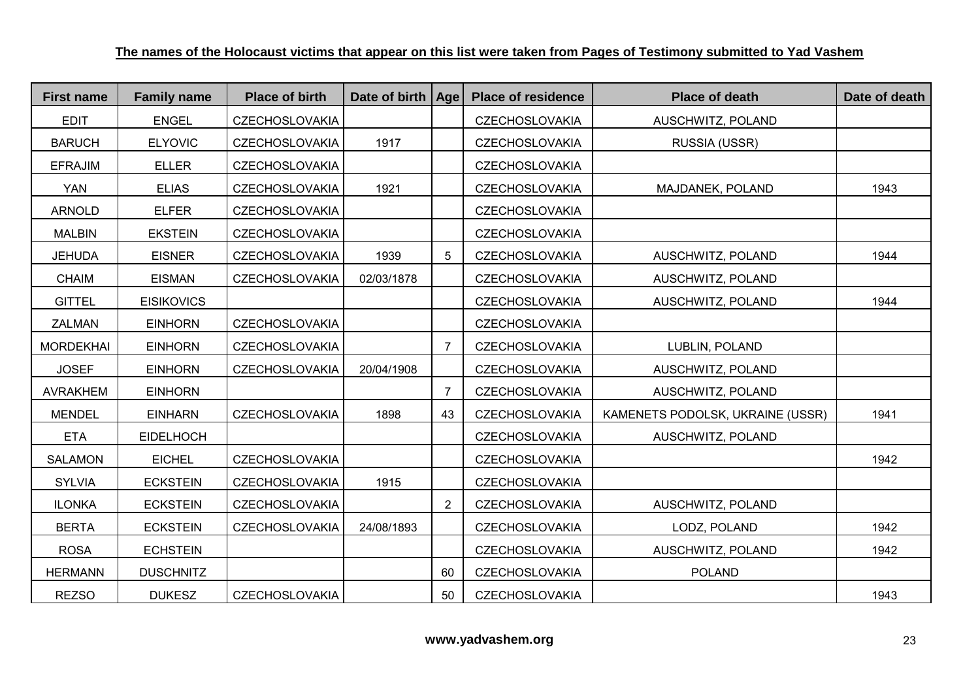| <b>First name</b> | <b>Family name</b> | <b>Place of birth</b> | Date of birth   Age |                | <b>Place of residence</b> | <b>Place of death</b>            | Date of death |
|-------------------|--------------------|-----------------------|---------------------|----------------|---------------------------|----------------------------------|---------------|
| <b>EDIT</b>       | <b>ENGEL</b>       | <b>CZECHOSLOVAKIA</b> |                     |                | <b>CZECHOSLOVAKIA</b>     | AUSCHWITZ, POLAND                |               |
| <b>BARUCH</b>     | <b>ELYOVIC</b>     | <b>CZECHOSLOVAKIA</b> | 1917                |                | <b>CZECHOSLOVAKIA</b>     | RUSSIA (USSR)                    |               |
| <b>EFRAJIM</b>    | <b>ELLER</b>       | <b>CZECHOSLOVAKIA</b> |                     |                | <b>CZECHOSLOVAKIA</b>     |                                  |               |
| <b>YAN</b>        | <b>ELIAS</b>       | <b>CZECHOSLOVAKIA</b> | 1921                |                | <b>CZECHOSLOVAKIA</b>     | MAJDANEK, POLAND                 | 1943          |
| <b>ARNOLD</b>     | <b>ELFER</b>       | <b>CZECHOSLOVAKIA</b> |                     |                | <b>CZECHOSLOVAKIA</b>     |                                  |               |
| <b>MALBIN</b>     | <b>EKSTEIN</b>     | <b>CZECHOSLOVAKIA</b> |                     |                | <b>CZECHOSLOVAKIA</b>     |                                  |               |
| <b>JEHUDA</b>     | <b>EISNER</b>      | <b>CZECHOSLOVAKIA</b> | 1939                | 5              | <b>CZECHOSLOVAKIA</b>     | AUSCHWITZ, POLAND                | 1944          |
| <b>CHAIM</b>      | <b>EISMAN</b>      | <b>CZECHOSLOVAKIA</b> | 02/03/1878          |                | <b>CZECHOSLOVAKIA</b>     | AUSCHWITZ, POLAND                |               |
| <b>GITTEL</b>     | <b>EISIKOVICS</b>  |                       |                     |                | <b>CZECHOSLOVAKIA</b>     | AUSCHWITZ, POLAND                | 1944          |
| <b>ZALMAN</b>     | <b>EINHORN</b>     | <b>CZECHOSLOVAKIA</b> |                     |                | <b>CZECHOSLOVAKIA</b>     |                                  |               |
| <b>MORDEKHAI</b>  | <b>EINHORN</b>     | <b>CZECHOSLOVAKIA</b> |                     | 7              | <b>CZECHOSLOVAKIA</b>     | LUBLIN, POLAND                   |               |
| <b>JOSEF</b>      | <b>EINHORN</b>     | <b>CZECHOSLOVAKIA</b> | 20/04/1908          |                | <b>CZECHOSLOVAKIA</b>     | AUSCHWITZ, POLAND                |               |
| <b>AVRAKHEM</b>   | <b>EINHORN</b>     |                       |                     | $\overline{7}$ | <b>CZECHOSLOVAKIA</b>     | AUSCHWITZ, POLAND                |               |
| <b>MENDEL</b>     | <b>EINHARN</b>     | <b>CZECHOSLOVAKIA</b> | 1898                | 43             | <b>CZECHOSLOVAKIA</b>     | KAMENETS PODOLSK, UKRAINE (USSR) | 1941          |
| <b>ETA</b>        | <b>EIDELHOCH</b>   |                       |                     |                | <b>CZECHOSLOVAKIA</b>     | AUSCHWITZ, POLAND                |               |
| <b>SALAMON</b>    | <b>EICHEL</b>      | <b>CZECHOSLOVAKIA</b> |                     |                | <b>CZECHOSLOVAKIA</b>     |                                  | 1942          |
| <b>SYLVIA</b>     | <b>ECKSTEIN</b>    | <b>CZECHOSLOVAKIA</b> | 1915                |                | <b>CZECHOSLOVAKIA</b>     |                                  |               |
| <b>ILONKA</b>     | <b>ECKSTEIN</b>    | <b>CZECHOSLOVAKIA</b> |                     | $\overline{2}$ | <b>CZECHOSLOVAKIA</b>     | AUSCHWITZ, POLAND                |               |
| <b>BERTA</b>      | <b>ECKSTEIN</b>    | <b>CZECHOSLOVAKIA</b> | 24/08/1893          |                | <b>CZECHOSLOVAKIA</b>     | LODZ, POLAND                     | 1942          |
| <b>ROSA</b>       | <b>ECHSTEIN</b>    |                       |                     |                | <b>CZECHOSLOVAKIA</b>     | AUSCHWITZ, POLAND                | 1942          |
| <b>HERMANN</b>    | <b>DUSCHNITZ</b>   |                       |                     | 60             | <b>CZECHOSLOVAKIA</b>     | <b>POLAND</b>                    |               |
| <b>REZSO</b>      | <b>DUKESZ</b>      | <b>CZECHOSLOVAKIA</b> |                     | 50             | <b>CZECHOSLOVAKIA</b>     |                                  | 1943          |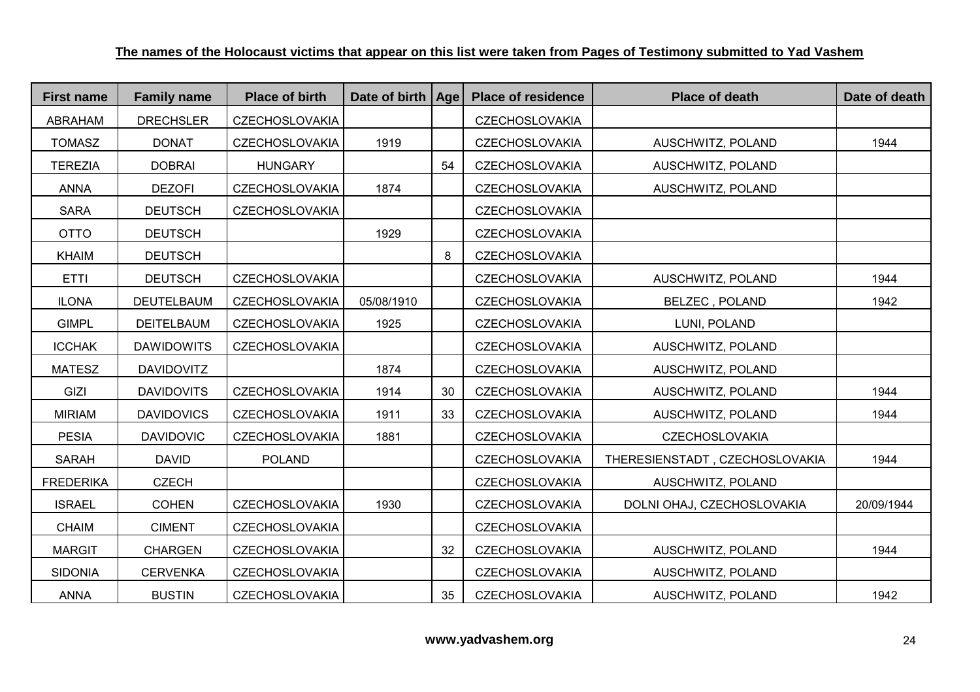| <b>First name</b> | <b>Family name</b> | <b>Place of birth</b> | Date of birth   Age |    | <b>Place of residence</b> | <b>Place of death</b>          | Date of death |
|-------------------|--------------------|-----------------------|---------------------|----|---------------------------|--------------------------------|---------------|
| <b>ABRAHAM</b>    | <b>DRECHSLER</b>   | <b>CZECHOSLOVAKIA</b> |                     |    | <b>CZECHOSLOVAKIA</b>     |                                |               |
| <b>TOMASZ</b>     | <b>DONAT</b>       | <b>CZECHOSLOVAKIA</b> | 1919                |    | <b>CZECHOSLOVAKIA</b>     | AUSCHWITZ, POLAND              | 1944          |
| <b>TEREZIA</b>    | <b>DOBRAI</b>      | <b>HUNGARY</b>        |                     | 54 | <b>CZECHOSLOVAKIA</b>     | AUSCHWITZ, POLAND              |               |
| <b>ANNA</b>       | <b>DEZOFI</b>      | <b>CZECHOSLOVAKIA</b> | 1874                |    | <b>CZECHOSLOVAKIA</b>     | AUSCHWITZ, POLAND              |               |
| <b>SARA</b>       | <b>DEUTSCH</b>     | <b>CZECHOSLOVAKIA</b> |                     |    | <b>CZECHOSLOVAKIA</b>     |                                |               |
| <b>OTTO</b>       | <b>DEUTSCH</b>     |                       | 1929                |    | <b>CZECHOSLOVAKIA</b>     |                                |               |
| <b>KHAIM</b>      | <b>DEUTSCH</b>     |                       |                     | 8  | <b>CZECHOSLOVAKIA</b>     |                                |               |
| <b>ETTI</b>       | <b>DEUTSCH</b>     | <b>CZECHOSLOVAKIA</b> |                     |    | <b>CZECHOSLOVAKIA</b>     | AUSCHWITZ, POLAND              | 1944          |
| <b>ILONA</b>      | DEUTELBAUM         | <b>CZECHOSLOVAKIA</b> | 05/08/1910          |    | <b>CZECHOSLOVAKIA</b>     | <b>BELZEC, POLAND</b>          | 1942          |
| <b>GIMPL</b>      | <b>DEITELBAUM</b>  | <b>CZECHOSLOVAKIA</b> | 1925                |    | <b>CZECHOSLOVAKIA</b>     | LUNI, POLAND                   |               |
| <b>ICCHAK</b>     | <b>DAWIDOWITS</b>  | <b>CZECHOSLOVAKIA</b> |                     |    | <b>CZECHOSLOVAKIA</b>     | AUSCHWITZ, POLAND              |               |
| <b>MATESZ</b>     | <b>DAVIDOVITZ</b>  |                       | 1874                |    | <b>CZECHOSLOVAKIA</b>     | AUSCHWITZ, POLAND              |               |
| GIZI              | <b>DAVIDOVITS</b>  | <b>CZECHOSLOVAKIA</b> | 1914                | 30 | <b>CZECHOSLOVAKIA</b>     | AUSCHWITZ, POLAND              | 1944          |
| <b>MIRIAM</b>     | <b>DAVIDOVICS</b>  | <b>CZECHOSLOVAKIA</b> | 1911                | 33 | <b>CZECHOSLOVAKIA</b>     | AUSCHWITZ, POLAND              | 1944          |
| <b>PESIA</b>      | <b>DAVIDOVIC</b>   | <b>CZECHOSLOVAKIA</b> | 1881                |    | <b>CZECHOSLOVAKIA</b>     | <b>CZECHOSLOVAKIA</b>          |               |
| <b>SARAH</b>      | <b>DAVID</b>       | <b>POLAND</b>         |                     |    | <b>CZECHOSLOVAKIA</b>     | THERESIENSTADT, CZECHOSLOVAKIA | 1944          |
| <b>FREDERIKA</b>  | <b>CZECH</b>       |                       |                     |    | <b>CZECHOSLOVAKIA</b>     | AUSCHWITZ, POLAND              |               |
| <b>ISRAEL</b>     | <b>COHEN</b>       | <b>CZECHOSLOVAKIA</b> | 1930                |    | <b>CZECHOSLOVAKIA</b>     | DOLNI OHAJ, CZECHOSLOVAKIA     | 20/09/1944    |
| <b>CHAIM</b>      | <b>CIMENT</b>      | <b>CZECHOSLOVAKIA</b> |                     |    | <b>CZECHOSLOVAKIA</b>     |                                |               |
| <b>MARGIT</b>     | <b>CHARGEN</b>     | <b>CZECHOSLOVAKIA</b> |                     | 32 | <b>CZECHOSLOVAKIA</b>     | AUSCHWITZ, POLAND              | 1944          |
| <b>SIDONIA</b>    | <b>CERVENKA</b>    | <b>CZECHOSLOVAKIA</b> |                     |    | <b>CZECHOSLOVAKIA</b>     | AUSCHWITZ, POLAND              |               |
| <b>ANNA</b>       | <b>BUSTIN</b>      | <b>CZECHOSLOVAKIA</b> |                     | 35 | <b>CZECHOSLOVAKIA</b>     | AUSCHWITZ, POLAND              | 1942          |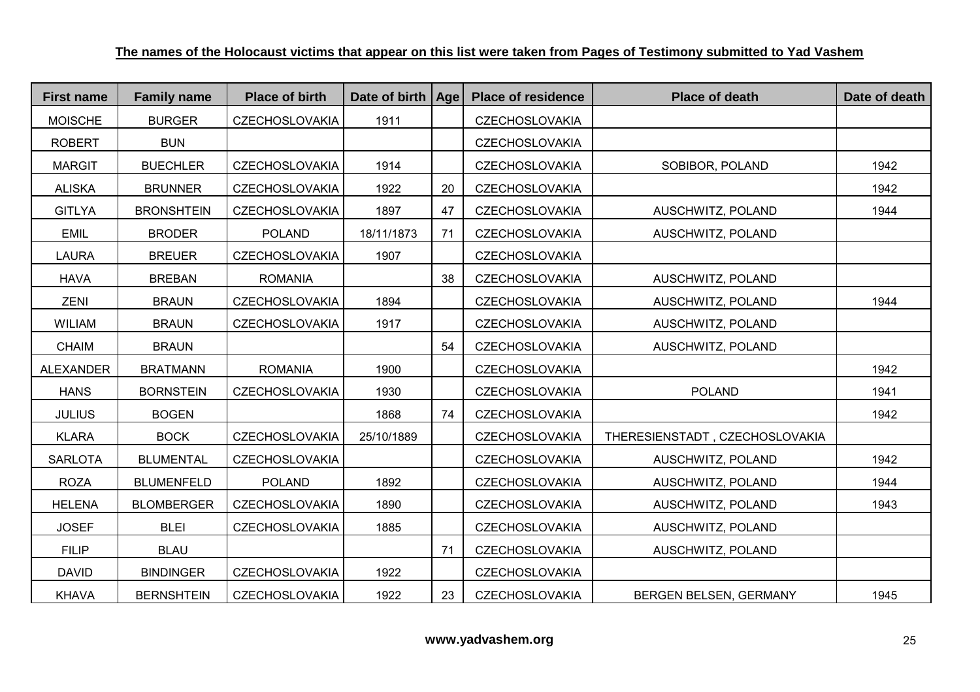| <b>First name</b> | <b>Family name</b> | <b>Place of birth</b> | Date of birth   Age |    | <b>Place of residence</b> | <b>Place of death</b>          | Date of death |
|-------------------|--------------------|-----------------------|---------------------|----|---------------------------|--------------------------------|---------------|
| <b>MOISCHE</b>    | <b>BURGER</b>      | <b>CZECHOSLOVAKIA</b> | 1911                |    | <b>CZECHOSLOVAKIA</b>     |                                |               |
| <b>ROBERT</b>     | <b>BUN</b>         |                       |                     |    | <b>CZECHOSLOVAKIA</b>     |                                |               |
| <b>MARGIT</b>     | <b>BUECHLER</b>    | <b>CZECHOSLOVAKIA</b> | 1914                |    | <b>CZECHOSLOVAKIA</b>     | SOBIBOR, POLAND                | 1942          |
| <b>ALISKA</b>     | <b>BRUNNER</b>     | <b>CZECHOSLOVAKIA</b> | 1922                | 20 | <b>CZECHOSLOVAKIA</b>     |                                | 1942          |
| <b>GITLYA</b>     | <b>BRONSHTEIN</b>  | <b>CZECHOSLOVAKIA</b> | 1897                | 47 | <b>CZECHOSLOVAKIA</b>     | AUSCHWITZ, POLAND              | 1944          |
| <b>EMIL</b>       | <b>BRODER</b>      | <b>POLAND</b>         | 18/11/1873          | 71 | <b>CZECHOSLOVAKIA</b>     | AUSCHWITZ, POLAND              |               |
| <b>LAURA</b>      | <b>BREUER</b>      | <b>CZECHOSLOVAKIA</b> | 1907                |    | <b>CZECHOSLOVAKIA</b>     |                                |               |
| <b>HAVA</b>       | <b>BREBAN</b>      | <b>ROMANIA</b>        |                     | 38 | <b>CZECHOSLOVAKIA</b>     | AUSCHWITZ, POLAND              |               |
| ZENI              | <b>BRAUN</b>       | <b>CZECHOSLOVAKIA</b> | 1894                |    | <b>CZECHOSLOVAKIA</b>     | AUSCHWITZ, POLAND              | 1944          |
| <b>WILIAM</b>     | <b>BRAUN</b>       | <b>CZECHOSLOVAKIA</b> | 1917                |    | <b>CZECHOSLOVAKIA</b>     | AUSCHWITZ, POLAND              |               |
| <b>CHAIM</b>      | <b>BRAUN</b>       |                       |                     | 54 | <b>CZECHOSLOVAKIA</b>     | AUSCHWITZ, POLAND              |               |
| <b>ALEXANDER</b>  | <b>BRATMANN</b>    | <b>ROMANIA</b>        | 1900                |    | <b>CZECHOSLOVAKIA</b>     |                                | 1942          |
| <b>HANS</b>       | <b>BORNSTEIN</b>   | <b>CZECHOSLOVAKIA</b> | 1930                |    | <b>CZECHOSLOVAKIA</b>     | <b>POLAND</b>                  | 1941          |
| <b>JULIUS</b>     | <b>BOGEN</b>       |                       | 1868                | 74 | <b>CZECHOSLOVAKIA</b>     |                                | 1942          |
| <b>KLARA</b>      | <b>BOCK</b>        | <b>CZECHOSLOVAKIA</b> | 25/10/1889          |    | CZECHOSLOVAKIA            | THERESIENSTADT, CZECHOSLOVAKIA |               |
| <b>SARLOTA</b>    | <b>BLUMENTAL</b>   | <b>CZECHOSLOVAKIA</b> |                     |    | <b>CZECHOSLOVAKIA</b>     | AUSCHWITZ, POLAND              | 1942          |
| <b>ROZA</b>       | <b>BLUMENFELD</b>  | <b>POLAND</b>         | 1892                |    | <b>CZECHOSLOVAKIA</b>     | AUSCHWITZ, POLAND              | 1944          |
| <b>HELENA</b>     | <b>BLOMBERGER</b>  | <b>CZECHOSLOVAKIA</b> | 1890                |    | <b>CZECHOSLOVAKIA</b>     | AUSCHWITZ, POLAND              | 1943          |
| <b>JOSEF</b>      | <b>BLEI</b>        | <b>CZECHOSLOVAKIA</b> | 1885                |    | <b>CZECHOSLOVAKIA</b>     | AUSCHWITZ, POLAND              |               |
| <b>FILIP</b>      | <b>BLAU</b>        |                       |                     | 71 | <b>CZECHOSLOVAKIA</b>     | AUSCHWITZ, POLAND              |               |
| <b>DAVID</b>      | <b>BINDINGER</b>   | <b>CZECHOSLOVAKIA</b> | 1922                |    | <b>CZECHOSLOVAKIA</b>     |                                |               |
| <b>KHAVA</b>      | <b>BERNSHTEIN</b>  | <b>CZECHOSLOVAKIA</b> | 1922                | 23 | <b>CZECHOSLOVAKIA</b>     | BERGEN BELSEN, GERMANY         | 1945          |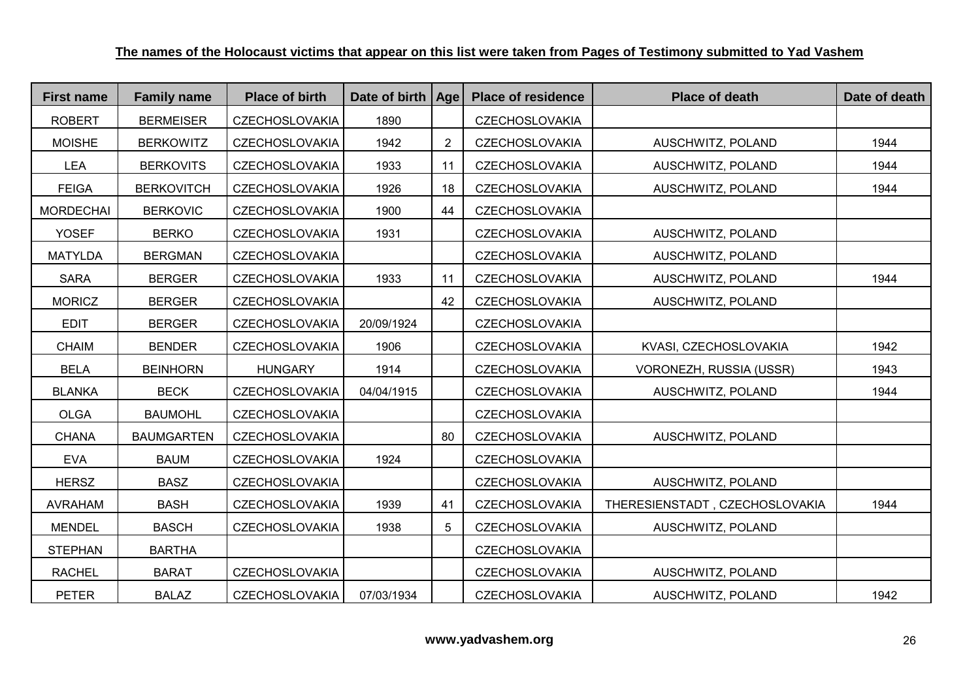| <b>First name</b> | <b>Family name</b> | <b>Place of birth</b> | Date of birth   Age |                | <b>Place of residence</b> | <b>Place of death</b>          | Date of death |
|-------------------|--------------------|-----------------------|---------------------|----------------|---------------------------|--------------------------------|---------------|
| <b>ROBERT</b>     | <b>BERMEISER</b>   | <b>CZECHOSLOVAKIA</b> | 1890                |                | <b>CZECHOSLOVAKIA</b>     |                                |               |
| <b>MOISHE</b>     | <b>BERKOWITZ</b>   | <b>CZECHOSLOVAKIA</b> | 1942                | $\overline{2}$ | <b>CZECHOSLOVAKIA</b>     | AUSCHWITZ, POLAND              | 1944          |
| <b>LEA</b>        | <b>BERKOVITS</b>   | <b>CZECHOSLOVAKIA</b> | 1933                | 11             | <b>CZECHOSLOVAKIA</b>     | AUSCHWITZ, POLAND              | 1944          |
| <b>FEIGA</b>      | <b>BERKOVITCH</b>  | <b>CZECHOSLOVAKIA</b> | 1926                | 18             | <b>CZECHOSLOVAKIA</b>     | AUSCHWITZ, POLAND              | 1944          |
| <b>MORDECHAI</b>  | <b>BERKOVIC</b>    | <b>CZECHOSLOVAKIA</b> | 1900                | 44             | <b>CZECHOSLOVAKIA</b>     |                                |               |
| <b>YOSEF</b>      | <b>BERKO</b>       | <b>CZECHOSLOVAKIA</b> | 1931                |                | <b>CZECHOSLOVAKIA</b>     | AUSCHWITZ, POLAND              |               |
| <b>MATYLDA</b>    | <b>BERGMAN</b>     | <b>CZECHOSLOVAKIA</b> |                     |                | <b>CZECHOSLOVAKIA</b>     | AUSCHWITZ, POLAND              |               |
| <b>SARA</b>       | <b>BERGER</b>      | <b>CZECHOSLOVAKIA</b> | 1933                | 11             | <b>CZECHOSLOVAKIA</b>     | AUSCHWITZ, POLAND              | 1944          |
| <b>MORICZ</b>     | <b>BERGER</b>      | <b>CZECHOSLOVAKIA</b> |                     | 42             | <b>CZECHOSLOVAKIA</b>     | AUSCHWITZ, POLAND              |               |
| <b>EDIT</b>       | <b>BERGER</b>      | <b>CZECHOSLOVAKIA</b> | 20/09/1924          |                | <b>CZECHOSLOVAKIA</b>     |                                |               |
| <b>CHAIM</b>      | <b>BENDER</b>      | <b>CZECHOSLOVAKIA</b> | 1906                |                | CZECHOSLOVAKIA            | KVASI, CZECHOSLOVAKIA          | 1942          |
| <b>BELA</b>       | <b>BEINHORN</b>    | <b>HUNGARY</b>        | 1914                |                | <b>CZECHOSLOVAKIA</b>     | VORONEZH, RUSSIA (USSR)        | 1943          |
| <b>BLANKA</b>     | <b>BECK</b>        | <b>CZECHOSLOVAKIA</b> | 04/04/1915          |                | <b>CZECHOSLOVAKIA</b>     | AUSCHWITZ, POLAND              | 1944          |
| <b>OLGA</b>       | <b>BAUMOHL</b>     | <b>CZECHOSLOVAKIA</b> |                     |                | <b>CZECHOSLOVAKIA</b>     |                                |               |
| <b>CHANA</b>      | <b>BAUMGARTEN</b>  | <b>CZECHOSLOVAKIA</b> |                     | 80             | <b>CZECHOSLOVAKIA</b>     | AUSCHWITZ, POLAND              |               |
| <b>EVA</b>        | <b>BAUM</b>        | <b>CZECHOSLOVAKIA</b> | 1924                |                | <b>CZECHOSLOVAKIA</b>     |                                |               |
| <b>HERSZ</b>      | <b>BASZ</b>        | <b>CZECHOSLOVAKIA</b> |                     |                | <b>CZECHOSLOVAKIA</b>     | AUSCHWITZ, POLAND              |               |
| <b>AVRAHAM</b>    | <b>BASH</b>        | <b>CZECHOSLOVAKIA</b> | 1939                | 41             | <b>CZECHOSLOVAKIA</b>     | THERESIENSTADT, CZECHOSLOVAKIA | 1944          |
| <b>MENDEL</b>     | <b>BASCH</b>       | <b>CZECHOSLOVAKIA</b> | 1938                | 5              | <b>CZECHOSLOVAKIA</b>     | AUSCHWITZ, POLAND              |               |
| <b>STEPHAN</b>    | <b>BARTHA</b>      |                       |                     |                | <b>CZECHOSLOVAKIA</b>     |                                |               |
| <b>RACHEL</b>     | <b>BARAT</b>       | <b>CZECHOSLOVAKIA</b> |                     |                | <b>CZECHOSLOVAKIA</b>     | AUSCHWITZ, POLAND              |               |
| <b>PETER</b>      | <b>BALAZ</b>       | <b>CZECHOSLOVAKIA</b> | 07/03/1934          |                | <b>CZECHOSLOVAKIA</b>     | AUSCHWITZ, POLAND              | 1942          |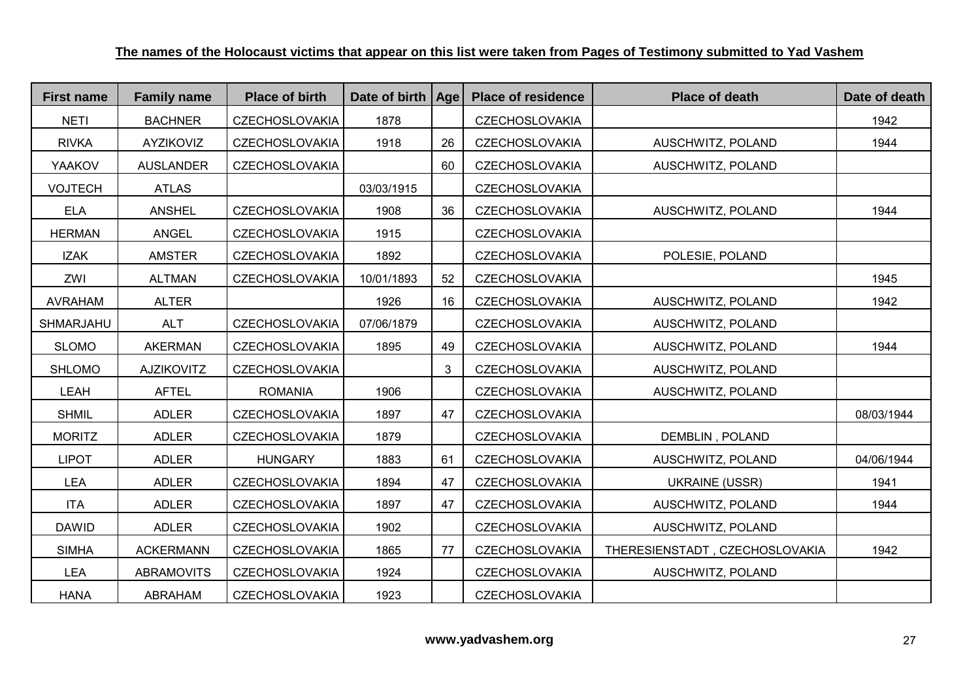| <b>First name</b> | <b>Family name</b> | <b>Place of birth</b> | Date of birth   Age |    | <b>Place of residence</b> | <b>Place of death</b>          | Date of death |
|-------------------|--------------------|-----------------------|---------------------|----|---------------------------|--------------------------------|---------------|
| <b>NETI</b>       | <b>BACHNER</b>     | <b>CZECHOSLOVAKIA</b> | 1878                |    | <b>CZECHOSLOVAKIA</b>     |                                | 1942          |
| <b>RIVKA</b>      | <b>AYZIKOVIZ</b>   | <b>CZECHOSLOVAKIA</b> | 1918                | 26 | <b>CZECHOSLOVAKIA</b>     | AUSCHWITZ, POLAND              | 1944          |
| YAAKOV            | <b>AUSLANDER</b>   | <b>CZECHOSLOVAKIA</b> |                     | 60 | <b>CZECHOSLOVAKIA</b>     | AUSCHWITZ, POLAND              |               |
| <b>VOJTECH</b>    | <b>ATLAS</b>       |                       | 03/03/1915          |    | <b>CZECHOSLOVAKIA</b>     |                                |               |
| <b>ELA</b>        | <b>ANSHEL</b>      | <b>CZECHOSLOVAKIA</b> | 1908                | 36 | <b>CZECHOSLOVAKIA</b>     | AUSCHWITZ, POLAND              | 1944          |
| <b>HERMAN</b>     | <b>ANGEL</b>       | <b>CZECHOSLOVAKIA</b> | 1915                |    | <b>CZECHOSLOVAKIA</b>     |                                |               |
| <b>IZAK</b>       | <b>AMSTER</b>      | <b>CZECHOSLOVAKIA</b> | 1892                |    | CZECHOSLOVAKIA            | POLESIE, POLAND                |               |
| ZWI               | <b>ALTMAN</b>      | <b>CZECHOSLOVAKIA</b> | 10/01/1893          | 52 | <b>CZECHOSLOVAKIA</b>     |                                | 1945          |
| <b>AVRAHAM</b>    | <b>ALTER</b>       |                       | 1926                | 16 | <b>CZECHOSLOVAKIA</b>     | AUSCHWITZ, POLAND              | 1942          |
| SHMARJAHU         | <b>ALT</b>         | <b>CZECHOSLOVAKIA</b> | 07/06/1879          |    | <b>CZECHOSLOVAKIA</b>     | AUSCHWITZ, POLAND              |               |
| <b>SLOMO</b>      | <b>AKERMAN</b>     | <b>CZECHOSLOVAKIA</b> | 1895                | 49 | <b>CZECHOSLOVAKIA</b>     | AUSCHWITZ, POLAND              | 1944          |
| <b>SHLOMO</b>     | <b>AJZIKOVITZ</b>  | <b>CZECHOSLOVAKIA</b> |                     | 3  | <b>CZECHOSLOVAKIA</b>     | AUSCHWITZ, POLAND              |               |
| LEAH              | <b>AFTEL</b>       | <b>ROMANIA</b>        | 1906                |    | <b>CZECHOSLOVAKIA</b>     | AUSCHWITZ, POLAND              |               |
| <b>SHMIL</b>      | <b>ADLER</b>       | <b>CZECHOSLOVAKIA</b> | 1897                | 47 | <b>CZECHOSLOVAKIA</b>     |                                | 08/03/1944    |
| <b>MORITZ</b>     | <b>ADLER</b>       | <b>CZECHOSLOVAKIA</b> | 1879                |    | <b>CZECHOSLOVAKIA</b>     | <b>DEMBLIN, POLAND</b>         |               |
| <b>LIPOT</b>      | <b>ADLER</b>       | <b>HUNGARY</b>        | 1883                | 61 | <b>CZECHOSLOVAKIA</b>     | AUSCHWITZ, POLAND              | 04/06/1944    |
| <b>LEA</b>        | <b>ADLER</b>       | <b>CZECHOSLOVAKIA</b> | 1894                | 47 | <b>CZECHOSLOVAKIA</b>     | <b>UKRAINE (USSR)</b>          | 1941          |
| <b>ITA</b>        | <b>ADLER</b>       | <b>CZECHOSLOVAKIA</b> | 1897                | 47 | <b>CZECHOSLOVAKIA</b>     | AUSCHWITZ, POLAND              | 1944          |
| <b>DAWID</b>      | <b>ADLER</b>       | <b>CZECHOSLOVAKIA</b> | 1902                |    | <b>CZECHOSLOVAKIA</b>     | AUSCHWITZ, POLAND              |               |
| <b>SIMHA</b>      | <b>ACKERMANN</b>   | <b>CZECHOSLOVAKIA</b> | 1865                | 77 | <b>CZECHOSLOVAKIA</b>     | THERESIENSTADT, CZECHOSLOVAKIA | 1942          |
| <b>LEA</b>        | <b>ABRAMOVITS</b>  | <b>CZECHOSLOVAKIA</b> | 1924                |    | <b>CZECHOSLOVAKIA</b>     | AUSCHWITZ, POLAND              |               |
| <b>HANA</b>       | <b>ABRAHAM</b>     | <b>CZECHOSLOVAKIA</b> | 1923                |    | <b>CZECHOSLOVAKIA</b>     |                                |               |